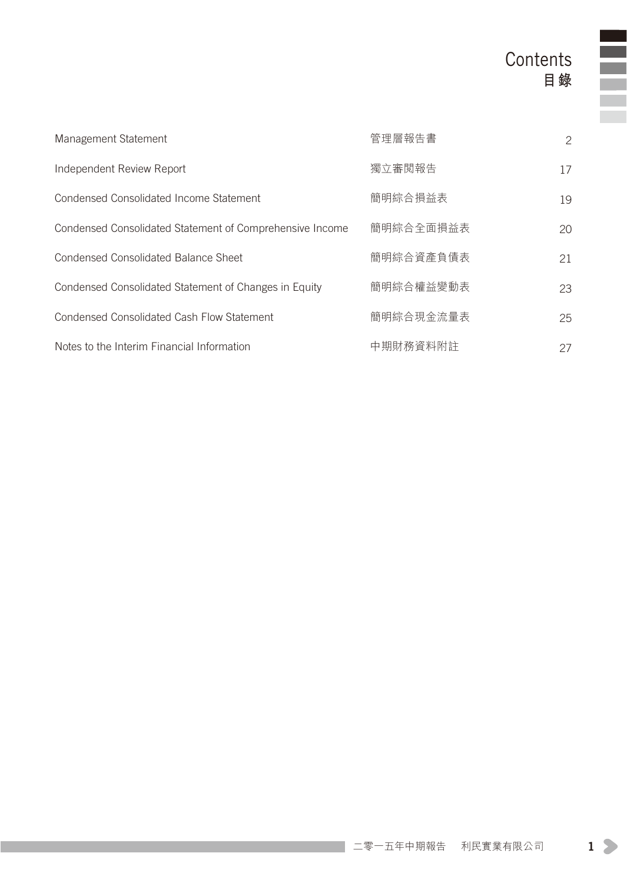# **Contents 目錄**

| Management Statement                                     | 管理層報告書    | 2  |
|----------------------------------------------------------|-----------|----|
| Independent Review Report                                | 獨立審閲報告    | 17 |
| Condensed Consolidated Income Statement                  | 簡明綜合損益表   | 19 |
| Condensed Consolidated Statement of Comprehensive Income | 簡明綜合全面損益表 | 20 |
| Condensed Consolidated Balance Sheet                     | 簡明綜合資產負債表 | 21 |
| Condensed Consolidated Statement of Changes in Equity    | 簡明綜合權益變動表 | 23 |
| Condensed Consolidated Cash Flow Statement               | 簡明綜合現金流量表 | 25 |
| Notes to the Interim Financial Information               | 中期財務資料附註  | 27 |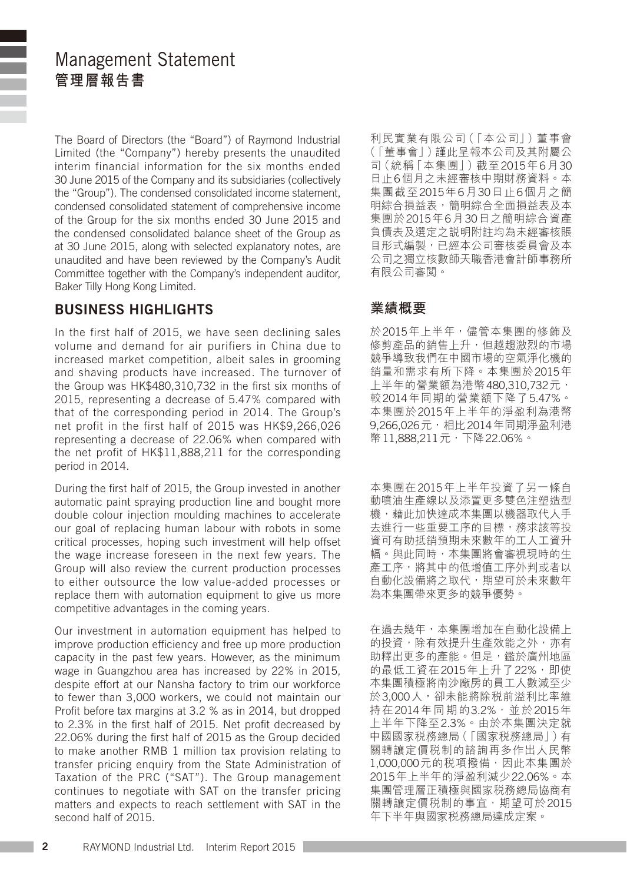### Management Statement **管理層報告書**

The Board of Directors (the "Board") of Raymond Industrial Limited (the "Company") hereby presents the unaudited interim financial information for the six months ended 30 June 2015 of the Company and its subsidiaries (collectively the "Group"). The condensed consolidated income statement, condensed consolidated statement of comprehensive income of the Group for the six months ended 30 June 2015 and the condensed consolidated balance sheet of the Group as at 30 June 2015, along with selected explanatory notes, are unaudited and have been reviewed by the Company's Audit Committee together with the Company's independent auditor, Baker Tilly Hong Kong Limited.

#### BUSINESS HIGHLIGHTS

In the first half of 2015, we have seen declining sales volume and demand for air purifiers in China due to increased market competition, albeit sales in grooming and shaving products have increased. The turnover of the Group was HK\$480,310,732 in the first six months of 2015, representing a decrease of 5.47% compared with that of the corresponding period in 2014. The Group's net profit in the first half of 2015 was HK\$9,266,026 representing a decrease of 22.06% when compared with the net profit of HK\$11,888,211 for the corresponding period in 2014.

During the first half of 2015, the Group invested in another automatic paint spraying production line and bought more double colour injection moulding machines to accelerate our goal of replacing human labour with robots in some critical processes, hoping such investment will help offset the wage increase foreseen in the next few years. The Group will also review the current production processes to either outsource the low value-added processes or replace them with automation equipment to give us more competitive advantages in the coming years.

Our investment in automation equipment has helped to improve production efficiency and free up more production capacity in the past few years. However, as the minimum wage in Guangzhou area has increased by 22% in 2015, despite effort at our Nansha factory to trim our workforce to fewer than 3,000 workers, we could not maintain our Profit before tax margins at 3.2 % as in 2014, but dropped to 2.3% in the first half of 2015. Net profit decreased by 22.06% during the first half of 2015 as the Group decided to make another RMB 1 million tax provision relating to transfer pricing enquiry from the State Administration of Taxation of the PRC ("SAT"). The Group management continues to negotiate with SAT on the transfer pricing matters and expects to reach settlement with SAT in the second half of 2015.

利民實業有限公司(「本公司」)董事會 (「董事會」)謹此呈報本公司及其附屬公 司(統稱「本集團」)截至2015年6月30 日止6個月之未經審核中期財務資料。本 集團截至2015年6月30日止6個月之簡 明綜合損益表,簡明綜合全面損益表及本 集團於2015年6月30日之簡明綜合資產 負債表及選定之說明附註均為未經審核賬 目形式編製,已經本公司審核委員會及本 公司之獨立核數師天職香港會計師事務所 有限公司審閱。

#### **業績概要**

於2015年上半年,儘管本集團的修飾及 修剪產品的銷售上升,但越趨激烈的市場 競爭導致我們在中國市場的空氣淨化機的 銷量和需求有所下降。本集團於2015年 上半年的營業額為港幣480,310,732元, 較2014年同期的營業額下降了5.47%。 本集團於2015年上半年的淨盈利為港幣 9,266,026元,相比2014年同期淨盈利港 幣11,888,211元, 下降22.06%。

本集團在2015年上半年投資了另一條自 動噴油生產線以及添置更多雙色注塑造型 機,藉此加快達成本集團以機器取代人手 去進行一些重要工序的目標,務求該等投 資可有助抵銷預期未來數年的工人工資升 幅。與此同時,本集團將會審視現時的生 產工序,將其中的低增值工序外判或者以 自動化設備將之取代,期望可於未來數年 為本集團帶來更多的競爭優勢。

在過去幾年,本集團增加在自動化設備上 的投資,除有效提升生產效能之外,亦有 助釋出更多的產能。但是,鑑於廣州地區 的最低工資在2015年上升了22%, 即使 本集團積極將南沙廠房的員工人數減至少 於3,000人,卻未能將除稅前溢利比率維 持在2014年同期的3.2%,並於2015年 上半年下降至2.3%。由於本集團決定就 中國國家稅務總局(「國家稅務總局」)有 關轉讓定價税制的諮詢再多作出人民幣 1,000,000元的稅項撥備,因此本集團於 2015年上半年的淨盈利減少22.06%。本 集團管理層正積極與國家稅務總局協商有 關轉讓定價税制的事宜,期望可於2015 年下半年與國家稅務總局達成定案。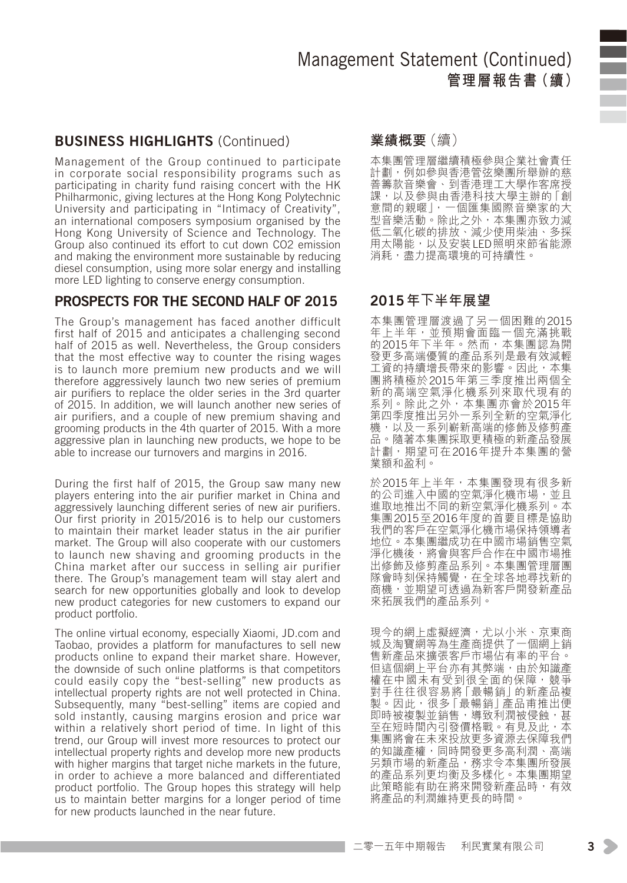#### BUSINESS HIGHLIGHTS (Continued)

Management of the Group continued to participate in corporate social responsibility programs such as participating in charity fund raising concert with the HK Philharmonic, giving lectures at the Hong Kong Polytechnic University and participating in "Intimacy of Creativity", an international composers symposium organised by the Hong Kong University of Science and Technology. The Group also continued its effort to cut down CO2 emission and making the environment more sustainable by reducing diesel consumption, using more solar energy and installing more LED lighting to conserve energy consumption.

#### PROSPECTS FOR THE SECOND HALF OF 2015

The Group's management has faced another difficult first half of 2015 and anticipates a challenging second half of 2015 as well. Nevertheless, the Group considers that the most effective way to counter the rising wages is to launch more premium new products and we will therefore aggressively launch two new series of premium air purifiers to replace the older series in the 3rd quarter of 2015. In addition, we will launch another new series of air purifiers, and a couple of new premium shaving and grooming products in the 4th quarter of 2015. With a more aggressive plan in launching new products, we hope to be able to increase our turnovers and margins in 2016.

During the first half of 2015, the Group saw many new players entering into the air purifier market in China and aggressively launching different series of new air purifiers. Our first priority in 2015/2016 is to help our customers to maintain their market leader status in the air purifier market. The Group will also cooperate with our customers to launch new shaving and grooming products in the China market after our success in selling air purifier there. The Group's management team will stay alert and search for new opportunities globally and look to develop new product categories for new customers to expand our product portfolio.

The online virtual economy, especially Xiaomi, JD.com and Taobao, provides a platform for manufactures to sell new products online to expand their market share. However, the downside of such online platforms is that competitors could easily copy the "best-selling" new products as intellectual property rights are not well protected in China. Subsequently, many "best-selling" items are copied and sold instantly, causing margins erosion and price war within a relatively short period of time. In light of this trend, our Group will invest more resources to protect our intellectual property rights and develop more new products with higher margins that target niche markets in the future. in order to achieve a more balanced and differentiated product portfolio. The Group hopes this strategy will help us to maintain better margins for a longer period of time for new products launched in the near future.

#### **業績概要**(續)

本集團管理層繼續積極參與企業社會責任 計劃,例如參與香港管弦樂團所舉辦的慈 善籌款音樂會、到香港理工大學作客席授 課,以及參與由香港科技大學主辦的「創 意間的親暱」,一個匯集國際音樂家的大 型音樂活動。除此之外,本集團亦致力減<br>低二氧化碳的排放,減少使用些油,多採 低二氧化碳的排放、減少使用柴油、多採 用太陽能,以及安裝LED照明來節省能源 消耗,盡力提高環境的可持續性。

#### 2015**年下半年展望**

本集團管理層渡過了另一個困難的2015 年上半年,並預期會面臨一個充滿挑戰 的2015年下半年。然而,本集團認為開 發更多高端優質的產品系列是最有效減輕 工資的持續增長帶來的影響。因此,本集 團將積極於2015年第三季度推出兩個全 新的高端空氣淨化機系列來取代現有的 系列。除此之外,本集團亦會於2015年 第四季度推出另外一系列全新的空氣淨化<br>機,以及一系列嶄新高端的修飾及修剪產 品。隨著本集團採取更積極的新產品發展 計劃,期望可在2016年提升本集團的營 業額和盈利。

於2015年上半年,本集團發現有很多新 的公司進入中國的空氣淨化機市場,並且 進取地推出不同的新空氣淨化機系列。本 集團2015至2016年度的首要目標是協助 我們的客戶在空氣淨化機市場保持領導者 地位。本集團繼成功在中國市場銷售空氣 淨化機後,將會與客戶合作在中國市場推 分1886.05 2017年1月11日,第11<br>出修飾及修剪產品系列。本集團管理層團 隊會時刻保持觸覺,在全球各地尋找新的 商機,並期望可透過為新客戶開發新產品 來拓展我們的產品系列。

現今的網上虛擬經濟,尤以小米、京東商 城及淘寶網等為生產商提供了一個網上銷 售新產品來擴張客戶市場佔有率的平台。 但這個網上平台亦有其弊端,由於知識產 權在中國未有受到很全面的保障,競爭 對手往往很容易將「最暢銷」的新產品複 製。因此,很多「最暢銷」產品甫推出便 即時被複製並銷售,導致利潤被侵蝕,甚 至在短時間內引發價格戰。有見及此,本 集團將會在未來投放更多資源去保障我們 的知識產權,同時開發更多高利潤、高端 另類市場的新產品,務求令本集團所發展 的產品系列更均衡及多樣化。本集團期望 此策略能有助在將來開發新產品時,有效 將產品的利潤維持更長的時間。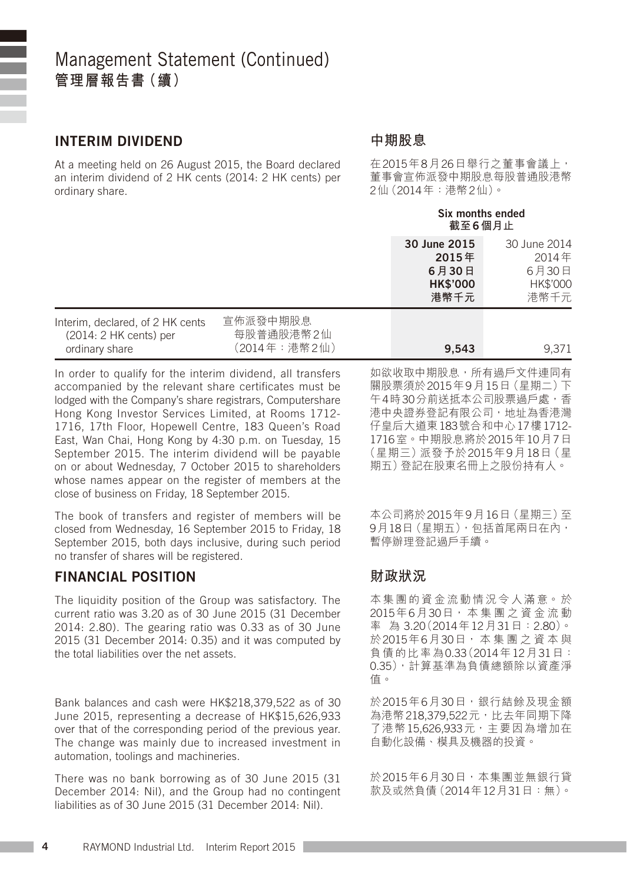#### INTERIM DIVIDEND

At a meeting held on 26 August 2015, the Board declared an interim dividend of 2 HK cents (2014: 2 HK cents) per ordinary share.

#### **中期股息**

在2015年8月26日舉行之董事會議上, 董事會宣佈派發中期股息每股普通股港幣 2仙(2014年:港幣2仙)。

#### Six months ended **截至**6**個月止**

|                                                                                |                                       | 30 June 2015<br>2015年<br>6月30日<br><b>HK\$'000</b><br>港幣千元 | 30 June 2014<br>2014年<br>6月30日<br>HK\$'000<br>港幣千元 |
|--------------------------------------------------------------------------------|---------------------------------------|-----------------------------------------------------------|----------------------------------------------------|
| Interim, declared, of 2 HK cents<br>$(2014: 2 HK cents)$ per<br>ordinary share | 宣佈派發中期股息<br>每股普通股港幣2仙<br>(2014年:港幣2仙) | 9.543                                                     | 9.371                                              |

In order to qualify for the interim dividend, all transfers accompanied by the relevant share certificates must be lodged with the Company's share registrars, Computershare Hong Kong Investor Services Limited, at Rooms 1712- 1716, 17th Floor, Hopewell Centre, 183 Queen's Road East, Wan Chai, Hong Kong by 4:30 p.m. on Tuesday, 15 September 2015. The interim dividend will be payable on or about Wednesday, 7 October 2015 to shareholders whose names appear on the register of members at the close of business on Friday, 18 September 2015.

The book of transfers and register of members will be closed from Wednesday, 16 September 2015 to Friday, 18 September 2015, both days inclusive, during such period no transfer of shares will be registered.

#### FINANCIAL POSITION

The liquidity position of the Group was satisfactory. The current ratio was 3.20 as of 30 June 2015 (31 December  $2014 \cdot 280$ ). The gearing ratio was 0.33 as of 30 June 2015 (31 December 2014: 0.35) and it was computed by the total liabilities over the net assets.

Bank balances and cash were HK\$218,379,522 as of 30 June 2015, representing a decrease of HK\$15,626,933 over that of the corresponding period of the previous year. The change was mainly due to increased investment in automation, toolings and machineries.

There was no bank borrowing as of 30 June 2015 (31 December 2014: Nil), and the Group had no contingent liabilities as of 30 June 2015 (31 December 2014: Nil).

如欲收取中期股息,所有過戶文件連同有 關股票須於2015年9月15日(星期二)下 午4時30分前送抵本公司股票過戶處,香 港中央證券登記有限公司,地址為香港灣 仔皇后大道東183號合和中心17樓1712- 1716室。中期股息將於2015年10月7日 (星期三)派發予於2015年9月18日(星 期五)登記在股東名冊上之股份持有人。

本公司將於2015年9月16日(星期三)至 9月18日(星期五),包括首尾兩日在內, 暫停辦理登記過戶手續。

#### **財政狀況**

本集團的資金流動情況令人滿意。於 2015年6月30日, 本 集 團 之 資 金 流 動 率 為 3.20(2014年12月31日:2.80)。 於2015年6月30日, 本 集 團 之 資 本 與 負債的比率為0.33(2014年12月31日: 0.35),計算基準為負債總額除以資產淨 值。

於2015年6月30日,銀行結餘及現金額 為港幣218,379,522元,比去年同期下降 了港幣15,626,933元,主要因為增加在 自動化設備、模具及機器的投資。

於2015年6月30日,本集團並無銀行貸 款及或然負債(2014年12月31日:無)。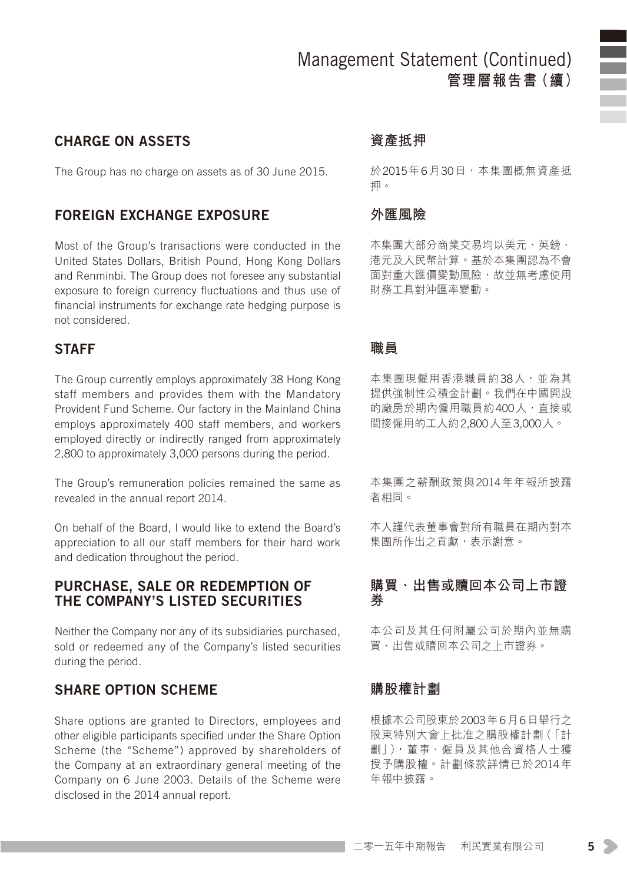#### CHARGE ON ASSETS

The Group has no charge on assets as of 30 June 2015.

#### FOREIGN EXCHANGE EXPOSURE

Most of the Group's transactions were conducted in the United States Dollars, British Pound, Hong Kong Dollars and Renminbi. The Group does not foresee any substantial exposure to foreign currency fluctuations and thus use of financial instruments for exchange rate hedging purpose is not considered.

#### **STAFF**

The Group currently employs approximately 38 Hong Kong staff members and provides them with the Mandatory Provident Fund Scheme. Our factory in the Mainland China employs approximately 400 staff members, and workers employed directly or indirectly ranged from approximately 2,800 to approximately 3,000 persons during the period.

The Group's remuneration policies remained the same as revealed in the annual report 2014.

On behalf of the Board, I would like to extend the Board's appreciation to all our staff members for their hard work and dedication throughout the period.

#### PURCHASE, SALE OR REDEMPTION OF THE COMPANY'S LISTED SECURITIES

Neither the Company nor any of its subsidiaries purchased, sold or redeemed any of the Company's listed securities during the period.

#### SHARE OPTION SCHEME

Share options are granted to Directors, employees and other eligible participants specified under the Share Option Scheme (the "Scheme") approved by shareholders of the Company at an extraordinary general meeting of the Company on 6 June 2003. Details of the Scheme were disclosed in the 2014 annual report.

#### **資產抵押**

於2015年6月30日,本集團概無資產抵 押。

#### **外匯風險**

本集團大部分商業交易均以美元、英鎊、 港元及人民幣計算。基於本集團認為不會 面對重大匯價變動風險,故並無考慮使用 財務工具對沖匯率變動。

#### **職員**

本集團現僱用香港職員約38人,並為其 提供強制性公積金計劃。我們在中國開設 的廠房於期內僱用職員約400人,直接或 間接僱用的工人約2,800人至3,000人。

本集團之薪酬政策與2014年年報所披露 者相同。

本人謹代表董事會對所有職員在期內對本 集團所作出之貢獻,表示謝意。

#### **購買、出售或贖回本公司上市證 券**

本公司及其任何附屬公司於期內並無購 買、出售或贖回本公司之上市證券。

#### **購股權計劃**

根據本公司股東於2003年6月6日舉行之 股東特別大會上批准之購股權計劃(「計 劃」),董事、僱員及其他合資格人士獲 授予購股權。計劃條款詳情已於2014年 年報中披露。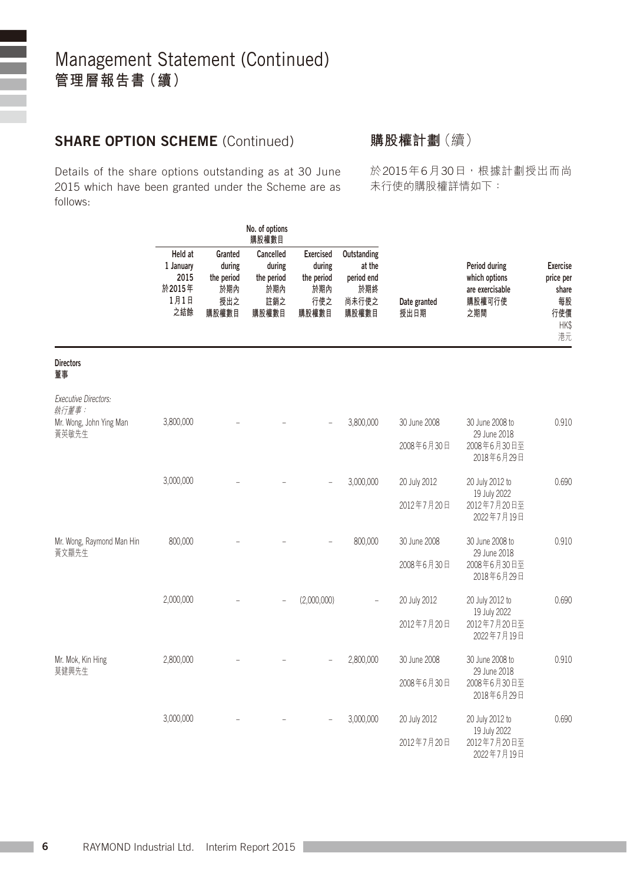#### SHARE OPTION SCHEME (Continued)

Details of the share options outstanding as at 30 June 2015 which have been granted under the Scheme are as follows:

**購股權計劃**(續)

於2015年6月30日,根據計劃授出而尚 未行使的購股權詳情如下:

|                                      | NO. OT OPTIONS<br>購股權數目                               |                                                        |                                                          |                                                          |                                                              |                      |                                                                    |                                                                 |
|--------------------------------------|-------------------------------------------------------|--------------------------------------------------------|----------------------------------------------------------|----------------------------------------------------------|--------------------------------------------------------------|----------------------|--------------------------------------------------------------------|-----------------------------------------------------------------|
|                                      | Held at<br>1 January<br>2015<br>於2015年<br>1月1日<br>之結餘 | Granted<br>during<br>the period<br>於期內<br>授出之<br>購股權數目 | Cancelled<br>during<br>the period<br>於期內<br>註銷之<br>購股權數目 | Exercised<br>during<br>the period<br>於期內<br>行使之<br>購股權數目 | Outstanding<br>at the<br>period end<br>於期終<br>尚未行使之<br>購股權數目 | Date granted<br>授出日期 | Period during<br>which options<br>are exercisable<br>購股權可行使<br>之期間 | Exercise<br>price per<br>share<br>每股<br>行使價<br><b>HKS</b><br>港元 |
| <b>Directors</b><br>董事               |                                                       |                                                        |                                                          |                                                          |                                                              |                      |                                                                    |                                                                 |
| <b>Executive Directors:</b><br>執行董事: |                                                       |                                                        |                                                          |                                                          |                                                              |                      |                                                                    |                                                                 |
| Mr. Wong, John Ying Man<br>黃英敏先生     | 3,800,000                                             |                                                        |                                                          |                                                          | 3,800,000                                                    | 30 June 2008         | 30 June 2008 to<br>29 June 2018                                    | 0.910                                                           |
|                                      |                                                       |                                                        |                                                          |                                                          |                                                              | 2008年6月30日           | 2008年6月30日至<br>2018年6月29日                                          |                                                                 |
|                                      | 3,000,000                                             |                                                        |                                                          |                                                          | 3,000,000                                                    | 20 July 2012         | 20 July 2012 to                                                    | 0.690                                                           |
|                                      |                                                       |                                                        |                                                          |                                                          |                                                              | 2012年7月20日           | 19 July 2022<br>2012年7月20日至<br>2022年7月19日                          |                                                                 |
| Mr. Wong, Raymond Man Hin<br>黃文顯先生   | 800,000                                               |                                                        |                                                          |                                                          | 800,000                                                      | 30 June 2008         | 30 June 2008 to<br>29 June 2018                                    | 0.910                                                           |
|                                      |                                                       |                                                        |                                                          |                                                          |                                                              | 2008年6月30日           | 2008年6月30日至<br>2018年6月29日                                          |                                                                 |
|                                      | 2,000,000                                             |                                                        |                                                          | (2,000,000)                                              |                                                              | 20 July 2012         | 20 July 2012 to<br>19 July 2022                                    | 0.690                                                           |
|                                      |                                                       |                                                        |                                                          |                                                          |                                                              | 2012年7月20日           | 2012年7月20日至<br>2022年7月19日                                          |                                                                 |
| Mr. Mok, Kin Hing<br>莫健興先生           | 2,800,000                                             |                                                        |                                                          |                                                          | 2,800,000                                                    | 30 June 2008         | 30 June 2008 to<br>29 June 2018                                    | 0.910                                                           |
|                                      |                                                       |                                                        |                                                          |                                                          |                                                              | 2008年6月30日           | 2008年6月30日至<br>2018年6月29日                                          |                                                                 |
|                                      | 3,000,000                                             |                                                        |                                                          |                                                          | 3,000,000                                                    | 20 July 2012         | 20 July 2012 to<br>19 July 2022                                    | 0.690                                                           |
|                                      |                                                       |                                                        |                                                          |                                                          |                                                              | 2012年7月20日           | 2012年7月20日至<br>2022年7月19日                                          |                                                                 |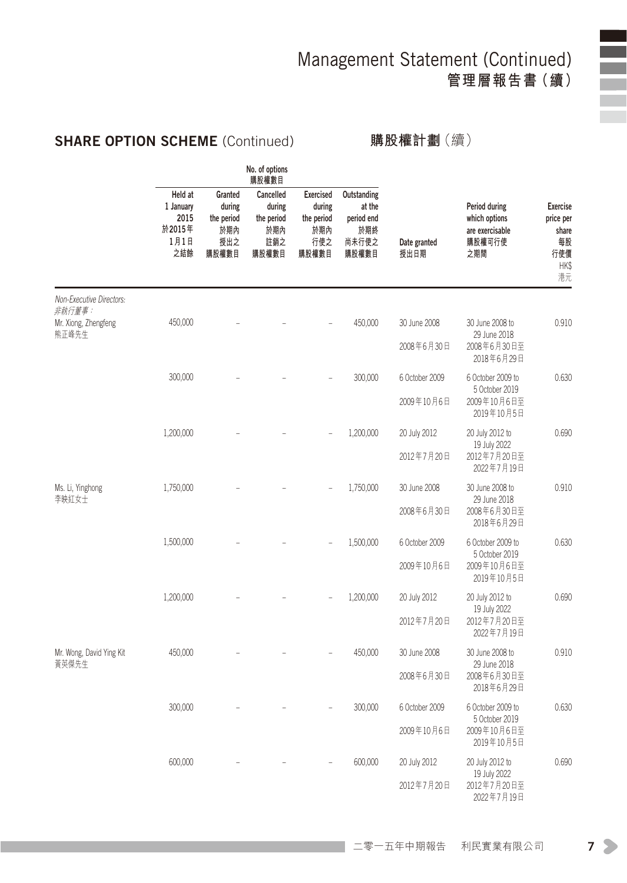### SHARE OPTION SCHEME (Continued)

**購股權計劃**(續)

|                                    |                                                       |                                                        | No. of options<br>購股權數目                                  |                                                          |                                                              |                      |                                                                    |                                                                  |
|------------------------------------|-------------------------------------------------------|--------------------------------------------------------|----------------------------------------------------------|----------------------------------------------------------|--------------------------------------------------------------|----------------------|--------------------------------------------------------------------|------------------------------------------------------------------|
|                                    | Held at<br>1 January<br>2015<br>於2015年<br>1月1日<br>之結餘 | Granted<br>during<br>the period<br>於期內<br>授出之<br>購股權數目 | Cancelled<br>during<br>the period<br>於期內<br>註銷之<br>購股權數目 | Exercised<br>during<br>the period<br>於期內<br>行使之<br>購股權數目 | Outstanding<br>at the<br>period end<br>於期終<br>尚未行使之<br>購股權數目 | Date granted<br>授出日期 | Period during<br>which options<br>are exercisable<br>購股權可行使<br>之期間 | <b>Exercise</b><br>price per<br>share<br>每股<br>行使價<br>HK\$<br>港元 |
| Non-Executive Directors:<br>非執行董事: |                                                       |                                                        |                                                          |                                                          |                                                              |                      |                                                                    |                                                                  |
| Mr. Xiong, Zhengfeng<br>熊正峰先生      | 450,000                                               |                                                        |                                                          |                                                          | 450,000                                                      | 30 June 2008         | 30 June 2008 to<br>29 June 2018                                    | 0.910                                                            |
|                                    |                                                       |                                                        |                                                          |                                                          |                                                              | 2008年6月30日           | 2008年6月30日至<br>2018年6月29日                                          |                                                                  |
|                                    | 300,000                                               |                                                        |                                                          |                                                          | 300,000                                                      | 6 October 2009       | 6 October 2009 to<br>5 October 2019                                | 0.630                                                            |
|                                    |                                                       |                                                        |                                                          |                                                          |                                                              | 2009年10月6日           | 2009年10月6日至<br>2019年10月5日                                          |                                                                  |
|                                    | 1,200,000                                             |                                                        |                                                          |                                                          | 1,200,000                                                    | 20 July 2012         | 20 July 2012 to<br>19 July 2022                                    | 0.690                                                            |
|                                    |                                                       |                                                        |                                                          |                                                          |                                                              | 2012年7月20日           | 2012年7月20日至<br>2022年7月19日                                          |                                                                  |
| Ms. Li, Yinghong<br>李映紅女士          | 1,750,000                                             |                                                        |                                                          |                                                          | 1,750,000                                                    | 30 June 2008         | 30 June 2008 to<br>29 June 2018                                    | 0.910                                                            |
|                                    |                                                       |                                                        |                                                          |                                                          |                                                              | 2008年6月30日           | 2008年6月30日至<br>2018年6月29日                                          |                                                                  |
|                                    | 1,500,000                                             |                                                        |                                                          |                                                          | 1,500,000                                                    | 6 October 2009       | 6 October 2009 to<br>5 October 2019                                | 0.630                                                            |
|                                    |                                                       |                                                        |                                                          |                                                          |                                                              | 2009年10月6日           | 2009年10月6日至<br>2019年10月5日                                          |                                                                  |
|                                    | 1,200,000                                             |                                                        |                                                          |                                                          | 1,200,000                                                    | 20 July 2012         | 20 July 2012 to<br>19 July 2022                                    | 0.690                                                            |
|                                    |                                                       |                                                        |                                                          |                                                          |                                                              | 2012年7月20日           | 2012年7月20日至<br>2022年7月19日                                          |                                                                  |
| Mr. Wong, David Ying Kit<br>黃英傑先生  | 450,000                                               |                                                        |                                                          |                                                          | 450,000                                                      | 30 June 2008         | 30 June 2008 to<br>29 June 2018                                    | 0.910                                                            |
|                                    |                                                       |                                                        |                                                          |                                                          |                                                              | 2008年6月30日           | 2008年6月30日至<br>2018年6月29日                                          |                                                                  |
|                                    | 300,000                                               |                                                        |                                                          |                                                          | 300,000                                                      | 6 October 2009       | 6 October 2009 to<br>5 October 2019                                | 0.630                                                            |
|                                    |                                                       |                                                        |                                                          |                                                          |                                                              | 2009年10月6日           | 2009年10月6日至<br>2019年10月5日                                          |                                                                  |
|                                    | 600,000                                               |                                                        |                                                          |                                                          | 600,000                                                      | 20 July 2012         | 20 July 2012 to<br>19 July 2022                                    | 0.690                                                            |
|                                    |                                                       |                                                        |                                                          |                                                          |                                                              | 2012年7月20日           | 2012年7月20日至<br>2022年7月19日                                          |                                                                  |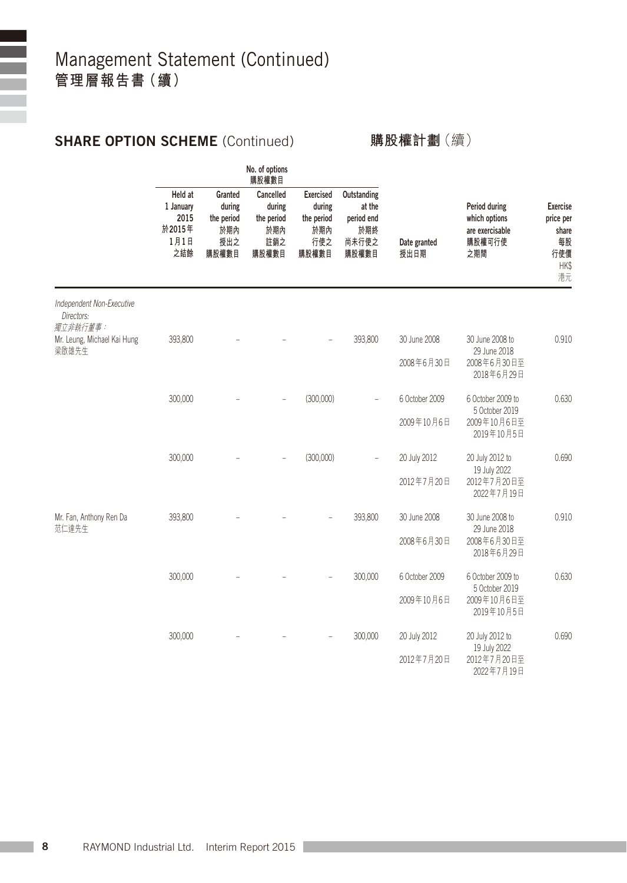### SHARE OPTION SCHEME (Continued)

#### **購股權計劃**(續)

|                                                     | No. of options<br>購股權數目                               |                                                        |                                                          |                                                                 |                                                              |                      |                                                                    |                                                                  |
|-----------------------------------------------------|-------------------------------------------------------|--------------------------------------------------------|----------------------------------------------------------|-----------------------------------------------------------------|--------------------------------------------------------------|----------------------|--------------------------------------------------------------------|------------------------------------------------------------------|
|                                                     | Held at<br>1 January<br>2015<br>於2015年<br>1月1日<br>之結餘 | Granted<br>during<br>the period<br>於期內<br>授出之<br>購股權數目 | Cancelled<br>during<br>the period<br>於期內<br>註銷之<br>購股權數目 | <b>Exercised</b><br>during<br>the period<br>内膜绒<br>行使之<br>購股權數目 | Outstanding<br>at the<br>period end<br>於期終<br>尚未行使之<br>購股權數目 | Date granted<br>授出日期 | Period during<br>which options<br>are exercisable<br>購股權可行使<br>之期間 | <b>Exercise</b><br>price per<br>share<br>每股<br>行使價<br>HK\$<br>港元 |
| Independent Non-Executive<br>Directors:<br>獨立非執行董事: |                                                       |                                                        |                                                          |                                                                 |                                                              |                      |                                                                    |                                                                  |
| Mr. Leung, Michael Kai Hung<br>梁啟雄先生                | 393,800                                               |                                                        |                                                          |                                                                 | 393,800                                                      | 30 June 2008         | 30 June 2008 to<br>29 June 2018                                    | 0.910                                                            |
|                                                     |                                                       |                                                        |                                                          |                                                                 |                                                              | 2008年6月30日           | 2008年6月30日至<br>2018年6月29日                                          |                                                                  |
|                                                     | 300,000                                               |                                                        |                                                          | (300,000)                                                       |                                                              | 6 October 2009       | 6 October 2009 to<br>5 October 2019                                | 0.630                                                            |
|                                                     |                                                       |                                                        |                                                          |                                                                 |                                                              | 2009年10月6日           | 2009年10月6日至<br>2019年10月5日                                          |                                                                  |
|                                                     | 300,000                                               |                                                        |                                                          | (300,000)                                                       |                                                              | 20 July 2012         | 20 July 2012 to<br>19 July 2022                                    | 0.690                                                            |
|                                                     |                                                       |                                                        |                                                          |                                                                 |                                                              | 2012年7月20日           | 2012年7月20日至<br>2022年7月19日                                          |                                                                  |
| Mr. Fan, Anthony Ren Da<br>范仁達先生                    | 393,800                                               |                                                        |                                                          |                                                                 | 393,800                                                      | 30 June 2008         | 30 June 2008 to<br>29 June 2018                                    | 0.910                                                            |
|                                                     |                                                       |                                                        |                                                          |                                                                 |                                                              | 2008年6月30日           | 2008年6月30日至<br>2018年6月29日                                          |                                                                  |
|                                                     | 300,000                                               |                                                        |                                                          |                                                                 | 300,000                                                      | 6 October 2009       | 6 October 2009 to<br>5 October 2019                                | 0.630                                                            |
|                                                     |                                                       |                                                        |                                                          |                                                                 |                                                              | 2009年10月6日           | 2009年10月6日至<br>2019年10月5日                                          |                                                                  |
|                                                     | 300,000                                               |                                                        |                                                          |                                                                 | 300,000                                                      | 20 July 2012         | 20 July 2012 to<br>19 July 2022                                    | 0.690                                                            |
|                                                     |                                                       |                                                        |                                                          |                                                                 |                                                              | 2012年7月20日           | 2012年7月20日至<br>2022年7月19日                                          |                                                                  |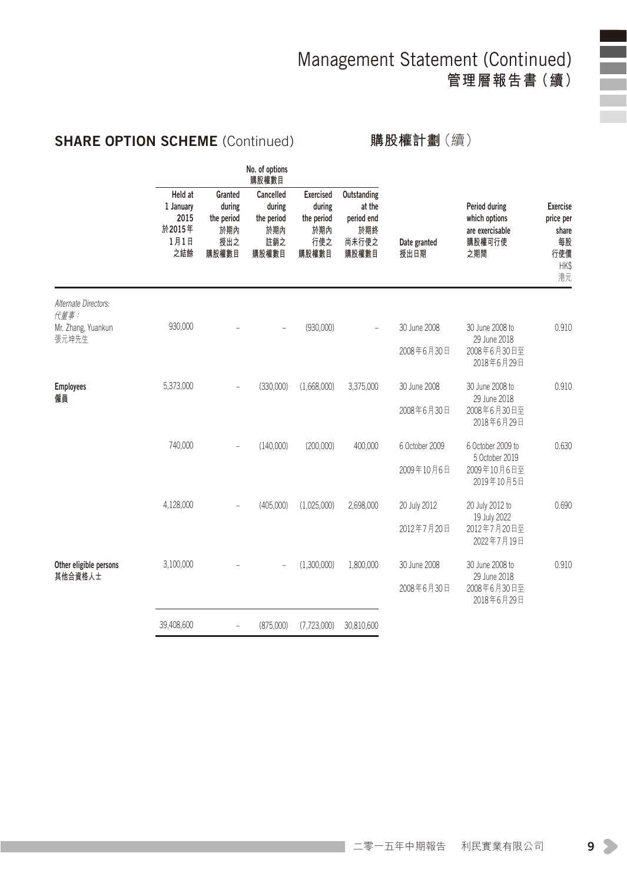### SHARE OPTION SCHEME (Continued)

**購股權計劃**(續)

|                                                       |                                                        | 購股權數目                                                    |                                                                 |                                                              |                      |                                                                    |                                                                                |
|-------------------------------------------------------|--------------------------------------------------------|----------------------------------------------------------|-----------------------------------------------------------------|--------------------------------------------------------------|----------------------|--------------------------------------------------------------------|--------------------------------------------------------------------------------|
| Held at<br>1 January<br>2015<br>於2015年<br>1月1日<br>之結餘 | Granted<br>during<br>the period<br>於期內<br>授出之<br>購股權數目 | Cancelled<br>during<br>the period<br>於期內<br>註銷之<br>購股權數目 | <b>Exercised</b><br>during<br>the period<br>於期內<br>行使之<br>購股權數目 | Outstanding<br>at the<br>period end<br>於期終<br>尚未行使之<br>購股權數目 | Date granted<br>授出日期 | Period during<br>which options<br>are exercisable<br>購股權可行使<br>之期間 | <b>Exercise</b><br>price per<br>share<br>每股<br>行使價<br>HK\$<br>港元               |
|                                                       |                                                        |                                                          |                                                                 |                                                              |                      |                                                                    |                                                                                |
| 930,000                                               |                                                        |                                                          | (930,000)                                                       |                                                              | 30 June 2008         | 30 June 2008 to                                                    | 0.910                                                                          |
|                                                       |                                                        |                                                          |                                                                 |                                                              | 2008年6月30日           | 2008年6月30日至<br>2018年6月29日                                          |                                                                                |
| 5,373,000                                             |                                                        | (330.000)                                                | (1.668.000)                                                     | 3,375,000                                                    | 30 June 2008         | 30 June 2008 to                                                    | 0.910                                                                          |
|                                                       |                                                        |                                                          |                                                                 |                                                              | 2008年6月30日           | 2008年6月30日至<br>2018年6月29日                                          |                                                                                |
| 740,000                                               | ÷                                                      | (140,000)                                                | (200,000)                                                       | 400,000                                                      | 6 October 2009       | 6 October 2009 to                                                  | 0.630                                                                          |
|                                                       |                                                        |                                                          |                                                                 |                                                              | 2009年10月6日           | 2009年10月6日至<br>2019年10月5日                                          |                                                                                |
| 4,128,000                                             |                                                        | (405,000)                                                | (1,025,000)                                                     | 2,698,000                                                    | 20 July 2012         | 20 July 2012 to                                                    | 0.690                                                                          |
|                                                       |                                                        |                                                          |                                                                 |                                                              | 2012年7月20日           | 2012年7月20日至<br>2022年7月19日                                          |                                                                                |
| 3,100,000                                             |                                                        |                                                          | (1,300,000)                                                     | 1,800,000                                                    | 30 June 2008         | 30 June 2008 to                                                    | 0.910                                                                          |
|                                                       |                                                        |                                                          |                                                                 |                                                              | 2008年6月30日           | 2008年6月30日至<br>2018年6月29日                                          |                                                                                |
| 39,408,600                                            | $\equiv$                                               | (875,000)                                                | (7,723,000)                                                     | 30,810,600                                                   |                      |                                                                    |                                                                                |
|                                                       |                                                        |                                                          | No. of options                                                  |                                                              |                      |                                                                    | 29 June 2018<br>29 June 2018<br>5 October 2019<br>19 July 2022<br>29 June 2018 |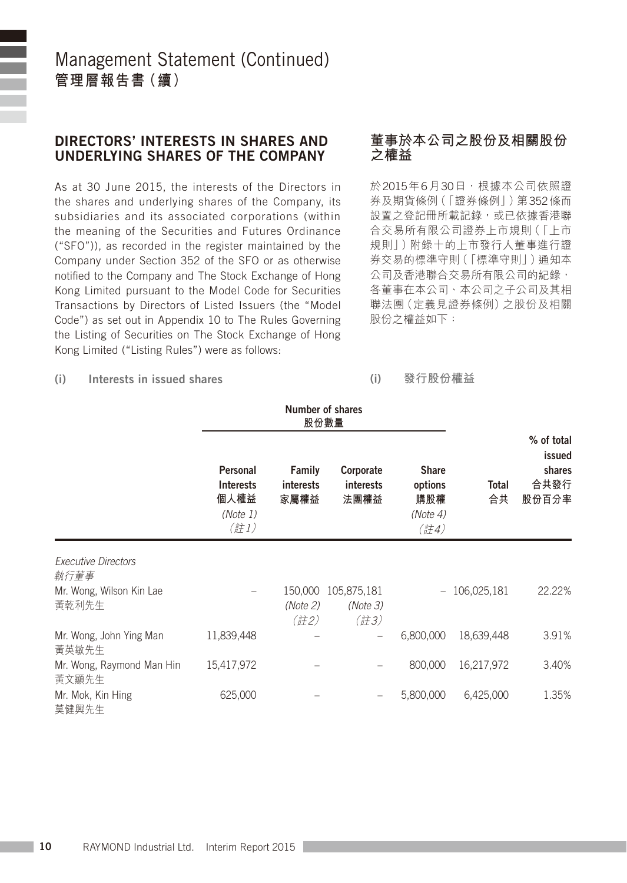#### DIRECTORS' INTERESTS IN SHARES AND UNDERLYING SHARES OF THE COMPANY

As at 30 June 2015, the interests of the Directors in the shares and underlying shares of the Company, its subsidiaries and its associated corporations (within the meaning of the Securities and Futures Ordinance ("SFO")), as recorded in the register maintained by the Company under Section 352 of the SFO or as otherwise notified to the Company and The Stock Exchange of Hong Kong Limited pursuant to the Model Code for Securities Transactions by Directors of Listed Issuers (the "Model Code") as set out in Appendix 10 to The Rules Governing the Listing of Securities on The Stock Exchange of Hong Kong Limited ("Listing Rules") were as follows:

#### **董事於本公司之股份及相關股份 之權益**

於2015年6月30日,根據本公司依照證 券及期貨條例(「證券條例」)第352條而 設置之登記冊所載記錄,或已依據香港聯 合交易所有限公司證券上市規則(「上市 規則」)附錄十的上市發行人董事進行證 券交易的標準守則(「標準守則」)通知本 公司及香港聯合交易所有限公司的紀錄, 各董事在本公司、本公司之子公司及其相 聯法團(定義見證券條例)之股份及相關 股份之權益如下:

#### (i) Interests in issued shares

#### (i) **發行股份權益**

|                                    |                                                          | Number of shares<br>股份數量    |                                                       | % of total                                         |                    |                                   |
|------------------------------------|----------------------------------------------------------|-----------------------------|-------------------------------------------------------|----------------------------------------------------|--------------------|-----------------------------------|
|                                    | Personal<br><b>Interests</b><br>個人權益<br>(Note 1)<br>(註1) | Family<br>interests<br>家屬權益 | Corporate<br><b>interests</b><br>法團權益                 | <b>Share</b><br>options<br>購股權<br>(Note 4)<br>(註4) | <b>Total</b><br>合共 | issued<br>shares<br>合共發行<br>股份百分率 |
| <b>Executive Directors</b><br>執行董事 |                                                          |                             |                                                       |                                                    |                    |                                   |
| Mr. Wong, Wilson Kin Lae<br>黃乾利先生  |                                                          | 150,000<br>(Note 2)<br>(註2) | 105,875,181<br>(Note 3)<br>$(\ddot{\vec{a}}\vec{t}3)$ |                                                    | 106,025,181        | 22.22%                            |
| Mr. Wong, John Ying Man<br>黃英敏先生   | 11,839,448                                               |                             |                                                       | 6,800,000                                          | 18,639,448         | 3.91%                             |
| Mr. Wong, Raymond Man Hin<br>黃文顯先生 | 15,417,972                                               |                             |                                                       | 800,000                                            | 16,217,972         | 3.40%                             |
| Mr. Mok, Kin Hing<br>莫健興先生         | 625,000                                                  |                             |                                                       | 5,800,000                                          | 6,425,000          | 1.35%                             |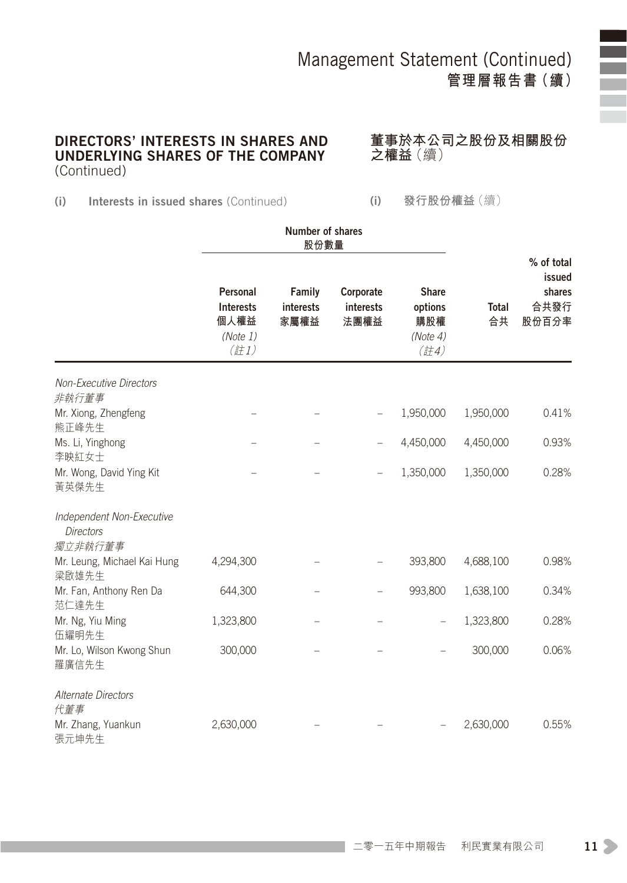#### DIRECTORS' INTERESTS IN SHARES AND UNDERLYING SHARES OF THE COMPANY (Continued)

**董事於本公司之股份及相關股份 之權益**(續)

(i) Interests in issued shares (Continued)

(i) **發行股份權益**(續)

|                                                          | Personal<br><b>Interests</b><br>個人權益<br>(Note 1)<br>$($ 註1) | Family<br>interests<br>家屬權益 | Corporate<br>interests<br>法團權益 | <b>Share</b><br>options<br>購股權<br>(Note 4)<br>$($ 註4) | <b>Total</b><br>合共 | % of total<br>issued<br>shares<br>合共發行<br>股份百分率 |
|----------------------------------------------------------|-------------------------------------------------------------|-----------------------------|--------------------------------|-------------------------------------------------------|--------------------|-------------------------------------------------|
| <b>Non-Executive Directors</b><br>非執行董事                  |                                                             |                             |                                |                                                       |                    |                                                 |
| Mr. Xiong, Zhengfeng<br>熊正峰先生                            |                                                             |                             |                                | 1,950,000                                             | 1,950,000          | 0.41%                                           |
| Ms. Li, Yinghong<br>李映紅女士                                |                                                             |                             |                                | 4,450,000                                             | 4,450,000          | 0.93%                                           |
| Mr. Wong, David Ying Kit<br>黃英傑先生                        |                                                             |                             |                                | 1,350,000                                             | 1,350,000          | 0.28%                                           |
| Independent Non-Executive<br><b>Directors</b><br>獨立非執行董事 |                                                             |                             |                                |                                                       |                    |                                                 |
| Mr. Leung, Michael Kai Hung<br>梁啟雄先生                     | 4,294,300                                                   |                             |                                | 393,800                                               | 4,688,100          | 0.98%                                           |
| Mr. Fan, Anthony Ren Da<br>范仁達先生                         | 644,300                                                     |                             |                                | 993,800                                               | 1,638,100          | 0.34%                                           |
| Mr. Ng, Yiu Ming<br>伍耀明先生                                | 1,323,800                                                   |                             |                                |                                                       | 1,323,800          | 0.28%                                           |
| Mr. Lo, Wilson Kwong Shun<br>羅廣信先生                       | 300,000                                                     |                             |                                |                                                       | 300,000            | 0.06%                                           |
| Alternate Directors<br>代董事                               |                                                             |                             |                                |                                                       |                    |                                                 |
| Mr. Zhang, Yuankun<br>張元坤先生                              | 2,630,000                                                   |                             |                                |                                                       | 2,630,000          | 0.55%                                           |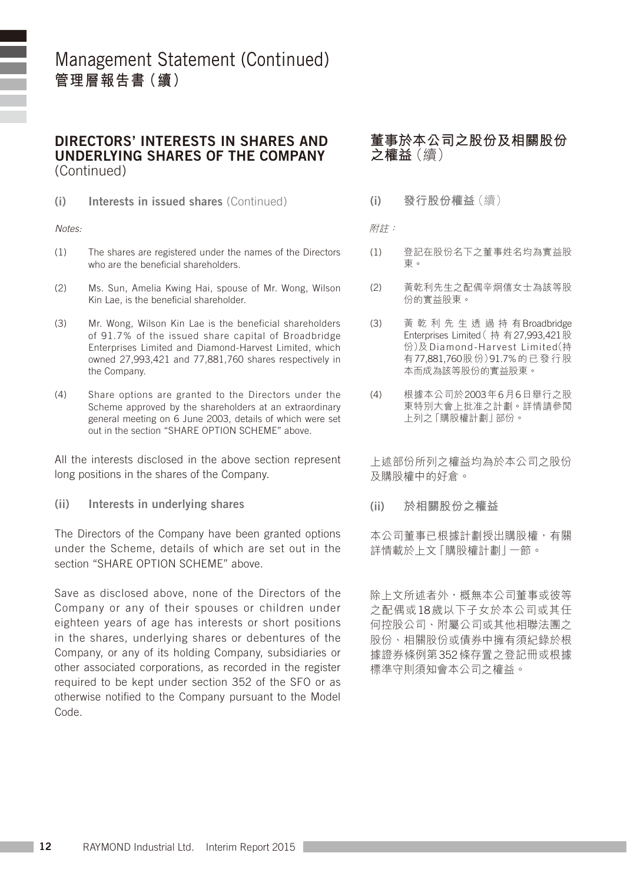DIRECTORS' INTERESTS IN SHARES AND UNDERLYING SHARES OF THE COMPANY (Continued)

(i) Interests in issued shares (Continued)

*Notes:*

- (1) The shares are registered under the names of the Directors who are the beneficial shareholders.
- (2) Ms. Sun, Amelia Kwing Hai, spouse of Mr. Wong, Wilson Kin Lae, is the beneficial shareholder.
- (3) Mr. Wong, Wilson Kin Lae is the beneficial shareholders of 91.7% of the issued share capital of Broadbridge Enterprises Limited and Diamond-Harvest Limited, which owned 27,993,421 and 77,881,760 shares respectively in the Company.
- (4) Share options are granted to the Directors under the Scheme approved by the shareholders at an extraordinary general meeting on 6 June 2003, details of which were set out in the section "SHARE OPTION SCHEME" above.

All the interests disclosed in the above section represent long positions in the shares of the Company.

(ii) Interests in underlying shares

The Directors of the Company have been granted options under the Scheme, details of which are set out in the section "SHARE OPTION SCHEME" above.

Save as disclosed above, none of the Directors of the Company or any of their spouses or children under eighteen years of age has interests or short positions in the shares, underlying shares or debentures of the Company, or any of its holding Company, subsidiaries or other associated corporations, as recorded in the register required to be kept under section 352 of the SFO or as otherwise notified to the Company pursuant to the Model Code.

#### **董事於本公司之股份及相關股份 之權益**(續)

(i) **發行股份權益**(續)

附註:

- (1) 登記在股份名下之董事姓名均為實益股 東。
- (2) 黃乾利先生之配偶辛炯僖女士為該等股 份的實益股東。
- (3) 黃 乾 利 先 生 透 過 持 有Broadbridge Enterprises Limited( 持 有27,993,421股 份)及 Diamond-Har ves t Limited(持 有77,881,760股份)91.7%的已發行股 本而成為該等股份的實益股東。
- (4) 根據本公司於2003年6月6日舉行之股 東特別大會上批准之計劃。詳情請參閱 上列之「購股權計劃」部份。

上述部份所列之權益均為於本公司之股份 及購股權中的好倉。

(ii) **於相關股份之權益**

本公司董事已根據計劃授出購股權,有關 詳情載於上文「購股權計劃」一節。

除上文所述者外,概無本公司董事或彼等 之配偶或18歲以下子女於本公司或其任 何控股公司、附屬公司或其他相聯法團之 股份、相關股份或債券中擁有須紀錄於根 據證券條例第352條存置之登記冊或根據 標準守則須知會本公司之權益。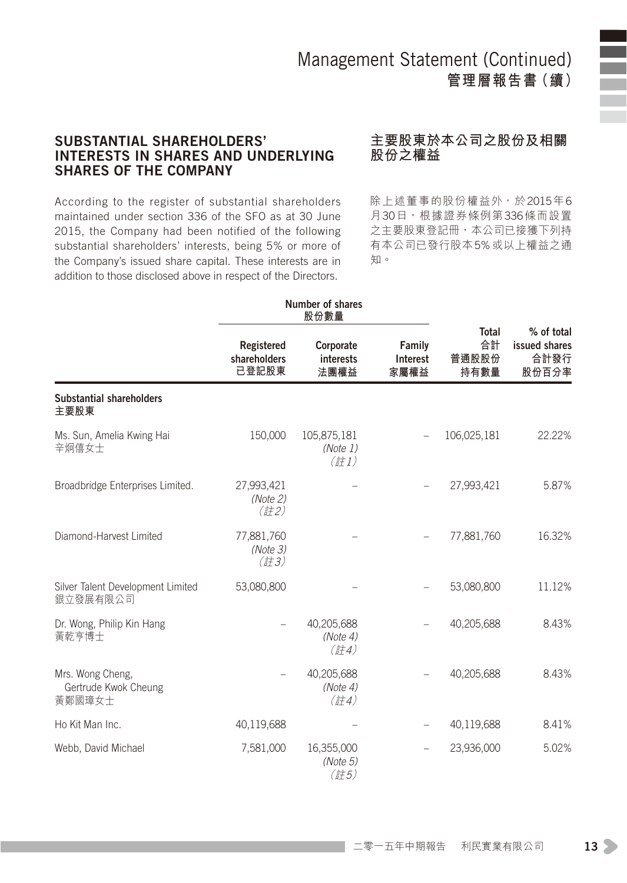#### SUBSTANTIAL SHAREHOLDERS' INTERESTS IN SHARES AND UNDERLYING SHARES OF THE COMPANY

#### **主要股東於本公司之股份及相關 股份之權益**

According to the register of substantial shareholders maintained under section 336 of the SFO as at 30 June 2015, the Company had been notified of the following substantial shareholders' interests, being 5% or more of the Company's issued share capital. These interests are in addition to those disclosed above in respect of the Directors.

除上述董事的股份權益外,於2015年6 月30日, 根據證券條例第336條而設置 之主要股東登記冊,本公司已接獲下列持 有本公司已發行股本5%或以上權益之通 知。

|                                                    |                                             | Number of shares<br>股份數量                                    |                            |                                     |                                              |
|----------------------------------------------------|---------------------------------------------|-------------------------------------------------------------|----------------------------|-------------------------------------|----------------------------------------------|
|                                                    | Registered<br>shareholders<br>已登記股東         | Corporate<br>interests<br>法團權益                              | Family<br>Interest<br>家屬權益 | <b>Total</b><br>合計<br>普通股股份<br>持有數量 | % of total<br>issued shares<br>合計發行<br>股份百分率 |
| Substantial shareholders<br>主要股東                   |                                             |                                                             |                            |                                     |                                              |
| Ms. Sun, Amelia Kwing Hai<br>辛炯僖女士                 | 150,000                                     | 105,875,181<br>(Note 1)<br>$(\overrightarrow{a}1)$          |                            | 106,025,181                         | 22.22%                                       |
| Broadbridge Enterprises Limited.                   | 27,993,421<br>(Note 2)<br>(ii)              |                                                             |                            | 27,993,421                          | 5.87%                                        |
| Diamond-Harvest Limited                            | 77,881,760<br>(Note 3)<br>$(\frac{2}{5}73)$ |                                                             |                            | 77,881,760                          | 16.32%                                       |
| Silver Talent Development Limited<br>銀立發展有限公司      | 53,080,800                                  |                                                             |                            | 53,080,800                          | 11.12%                                       |
| Dr. Wong, Philip Kin Hang<br>黃乾亨博士                 |                                             | 40,205,688<br>(Note 4)<br>$(\frac{2}{5}74)$                 |                            | 40,205,688                          | 8.43%                                        |
| Mrs. Wong Cheng,<br>Gertrude Kwok Cheung<br>黃鄭國璋女士 |                                             | 40,205,688<br>(Note 4)<br>$(\ddot{\vec{a}}\dot{\vec{a}}$ 4) |                            | 40,205,688                          | 8.43%                                        |
| Ho Kit Man Inc.                                    | 40,119,688                                  |                                                             |                            | 40,119,688                          | 8.41%                                        |
| Webb, David Michael                                | 7,581,000                                   | 16,355,000<br>(Note 5)<br>(註5)                              |                            | 23,936,000                          | 5.02%                                        |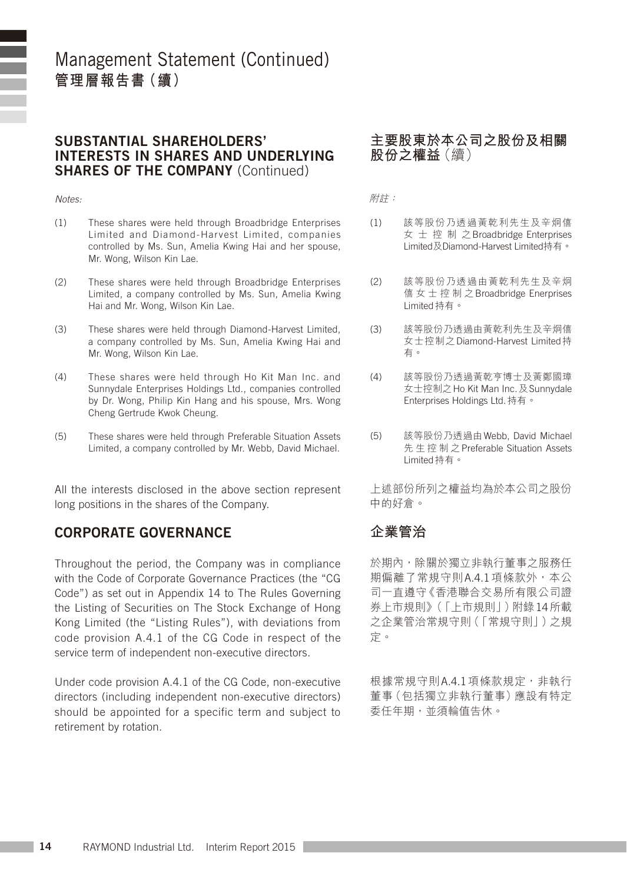#### SUBSTANTIAL SHAREHOLDERS' INTERESTS IN SHARES AND UNDERLYING SHARES OF THE COMPANY (Continued)

#### *Notes:*

- (1) These shares were held through Broadbridge Enterprises Limited and Diamond-Harvest Limited, companies controlled by Ms. Sun, Amelia Kwing Hai and her spouse, Mr. Wong, Wilson Kin Lae.
- (2) These shares were held through Broadbridge Enterprises Limited, a company controlled by Ms. Sun, Amelia Kwing Hai and Mr. Wong, Wilson Kin Lae.
- (3) These shares were held through Diamond-Harvest Limited, a company controlled by Ms. Sun, Amelia Kwing Hai and Mr. Wong, Wilson Kin Lae.
- (4) These shares were held through Ho Kit Man Inc. and Sunnydale Enterprises Holdings Ltd., companies controlled by Dr. Wong, Philip Kin Hang and his spouse, Mrs. Wong Cheng Gertrude Kwok Cheung.
- (5) These shares were held through Preferable Situation Assets Limited, a company controlled by Mr. Webb, David Michael.

All the interests disclosed in the above section represent long positions in the shares of the Company.

#### CORPORATE GOVERNANCE

Throughout the period, the Company was in compliance with the Code of Corporate Governance Practices (the "CG Code") as set out in Appendix 14 to The Rules Governing the Listing of Securities on The Stock Exchange of Hong Kong Limited (the "Listing Rules"), with deviations from code provision A.4.1 of the CG Code in respect of the service term of independent non-executive directors.

Under code provision A.4.1 of the CG Code, non-executive directors (including independent non-executive directors) should be appointed for a specific term and subject to retirement by rotation.

#### **主要股東於本公司之股份及相關 股份之權益**(續)

附註:

- (1) 該等股份乃透過黃乾利先生及辛炯僖 女 士 控 制 之Broadbridge Enterprises Limited及Diamond-Harvest Limited持有。
- (2) 該等股份乃透過由黃乾利先生及辛炯 僖 女 士 控 制 之Broadbridge Enerprises Limited持有。
- (3) 該等股份乃透過由黃乾利先生及辛炯僖 女士控制之Diamond-Harvest Limited持 有。
- (4) 該等股份乃透過黃乾亨博士及黃鄭國璋 女士控制之Ho Kit Man Inc.及Sunnydale Enterprises Holdings Ltd.持有。
- (5) 該等股份乃透過由Webb, David Michael 先 生 控 制 之Preferable Situation Assets Limited持有。

上述部份所列之權益均為於本公司之股份 中的好倉。

#### **企業管治**

於期內,除關於獨立非執行董事之服務任 期偏離了常規守則A.4.1項條款外, 本公 司一直遵守《香港聯合交易所有限公司證 券上市規則》(「上市規則」)附錄14所載 之企業管治常規守則(「常規守則」)之規 定。

根據常規守則A.4.1項條款規定,非執行 董事(包括獨立非執行董事)應設有特定 委任年期,並須輪值告休。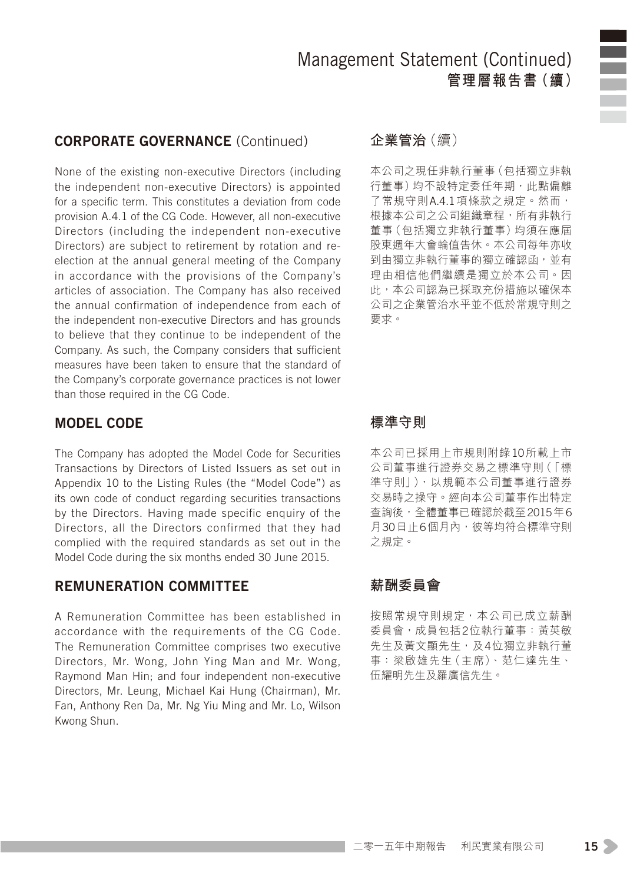#### CORPORATE GOVERNANCE (Continued)

None of the existing non-executive Directors (including the independent non-executive Directors) is appointed for a specific term. This constitutes a deviation from code provision A.4.1 of the CG Code. However, all non-executive Directors (including the independent non-executive Directors) are subject to retirement by rotation and reelection at the annual general meeting of the Company in accordance with the provisions of the Company's articles of association. The Company has also received the annual confirmation of independence from each of the independent non-executive Directors and has grounds to believe that they continue to be independent of the Company. As such, the Company considers that sufficient measures have been taken to ensure that the standard of the Company's corporate governance practices is not lower than those required in the CG Code.

#### MODEL CODE

The Company has adopted the Model Code for Securities Transactions by Directors of Listed Issuers as set out in Appendix 10 to the Listing Rules (the "Model Code") as its own code of conduct regarding securities transactions by the Directors. Having made specific enquiry of the Directors, all the Directors confirmed that they had complied with the required standards as set out in the Model Code during the six months ended 30 June 2015.

#### REMUNERATION COMMITTEE

A Remuneration Committee has been established in accordance with the requirements of the CG Code. The Remuneration Committee comprises two executive Directors, Mr. Wong, John Ying Man and Mr. Wong, Raymond Man Hin; and four independent non-executive Directors, Mr. Leung, Michael Kai Hung (Chairman), Mr. Fan, Anthony Ren Da, Mr. Ng Yiu Ming and Mr. Lo, Wilson Kwong Shun.

#### **企業管治**(續)

本公司之現任非執行董事(包括獨立非執 行董事)均不設特定委任年期,此點偏離 了常規守則A.4.1項條款之規定。然而, 根據本公司之公司組織章程,所有非執行 董事(包括獨立非執行董事)均須在應屆 股東週年大會輪值告休。本公司每年亦收 到由獨立非執行董事的獨立確認函,並有 理由相信他們繼續是獨立於本公司。因 此,本公司認為已採取充份措施以確保本 公司之企業管治水平並不低於常規守則之 要求。

#### **標準守則**

本公司已採用上市規則附錄10所載上市 公司董事進行證券交易之標準守則(「標 準守則」),以規範本公司董事進行證券 交易時之操守。經向本公司董事作出特定 查詢後,全體董事已確認於截至2015年6 月30日止6個月內,彼等均符合標準守則 之規定。

#### **薪酬委員會**

按照常規守則規定,本公司已成立薪酬 委員會,成員包括2位執行董事:黃英敏 先生及黃文顯先生,及4位獨立非執行董 事:梁啟雄先生(主席)、范仁達先生、 伍耀明先生及羅廣信先生。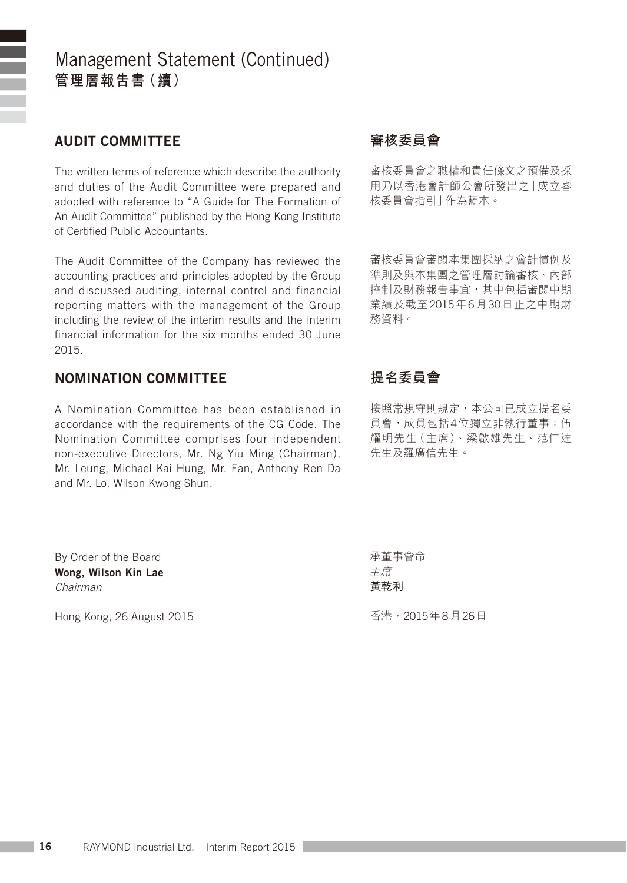### AUDIT COMMITTEE

The written terms of reference which describe the authority and duties of the Audit Committee were prepared and adopted with reference to "A Guide for The Formation of An Audit Committee" published by the Hong Kong Institute of Certified Public Accountants.

The Audit Committee of the Company has reviewed the accounting practices and principles adopted by the Group and discussed auditing, internal control and financial reporting matters with the management of the Group including the review of the interim results and the interim financial information for the six months ended 30 June 2015.

#### NOMINATION COMMITTEE

A Nomination Committee has been established in accordance with the requirements of the CG Code. The Nomination Committee comprises four independent non-executive Directors, Mr. Ng Yiu Ming (Chairman), Mr. Leung, Michael Kai Hung, Mr. Fan, Anthony Ren Da and Mr. Lo, Wilson Kwong Shun.

By Order of the Board Wong, Wilson Kin Lae *Chairman*

Hong Kong, 26 August 2015

### **審核委員會**

審核委員會之職權和責任條文之預備及採 用乃以香港會計師公會所發出之「成立審 核委員會指引」作為藍本。

審核委員會審閱本集團採納之會計慣例及 準則及與本集團之管理層討論審核、內部 控制及財務報告事宜,其中包括審閲中期 業績及截至2015年6月30日止之中期財 務資料。

### **提名委員會**

按照常規守則規定,本公司已成立提名委 員會,成員包括4位獨立非執行董事:伍 耀明先生(主席)、梁啟雄先生、范仁達 先生及羅廣信先生。

承董事會命 主席 **黃乾利**

香港,2015年8月26日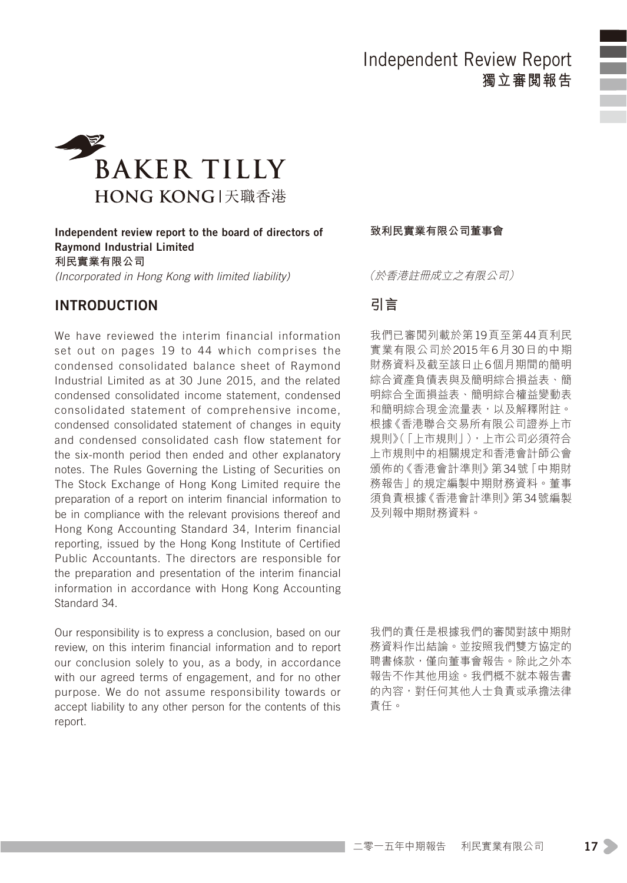### Independent Review Report **獨立審閱報告**





Independent review report to the board of directors of Raymond Industrial Limited **利民實業有限公司** *(Incorporated in Hong Kong with limited liability)*

#### Introduction

We have reviewed the interim financial information set out on pages 19 to 44 which comprises the condensed consolidated balance sheet of Raymond Industrial Limited as at 30 June 2015, and the related condensed consolidated income statement, condensed consolidated statement of comprehensive income, condensed consolidated statement of changes in equity and condensed consolidated cash flow statement for the six-month period then ended and other explanatory notes. The Rules Governing the Listing of Securities on The Stock Exchange of Hong Kong Limited require the preparation of a report on interim financial information to be in compliance with the relevant provisions thereof and Hong Kong Accounting Standard 34, Interim financial reporting, issued by the Hong Kong Institute of Certified Public Accountants. The directors are responsible for the preparation and presentation of the interim financial information in accordance with Hong Kong Accounting Standard 34.

Our responsibility is to express a conclusion, based on our review, on this interim financial information and to report our conclusion solely to you, as a body, in accordance with our agreed terms of engagement, and for no other purpose. We do not assume responsibility towards or accept liability to any other person for the contents of this report.

**致利民實業有限公司董事會**

(於香港註冊成立之有限公司)

### **引言**

我們已審閱列載於第19頁至第44頁利民 實業有限公司於2015年6月30日的中期 財務資料及截至該日止6個月期間的簡明 綜合資產負債表與及簡明綜合損益表、簡 明綜合全面損益表、簡明綜合權益變動表 和簡明綜合現金流量表,以及解釋附註。 根據《香港聯合交易所有限公司證券上市 規則》(「上市規則」),上市公司必須符合 上市規則中的相關規定和香港會計師公會 頒佈的《香港會計準則》第34號「中期財 務報告」的規定編製中期財務資料。董事 須負責根據《香港會計準則》第34號編製 及列報中期財務資料。

我們的責任是根據我們的審閱對該中期財 務資料作出結論。並按照我們雙方協定的 聘書條款,僅向董事會報告。除此*之*外本 報告不作其他用途。我們概不就本報告書 的內容,對任何其他人士負責或承擔法律 責任。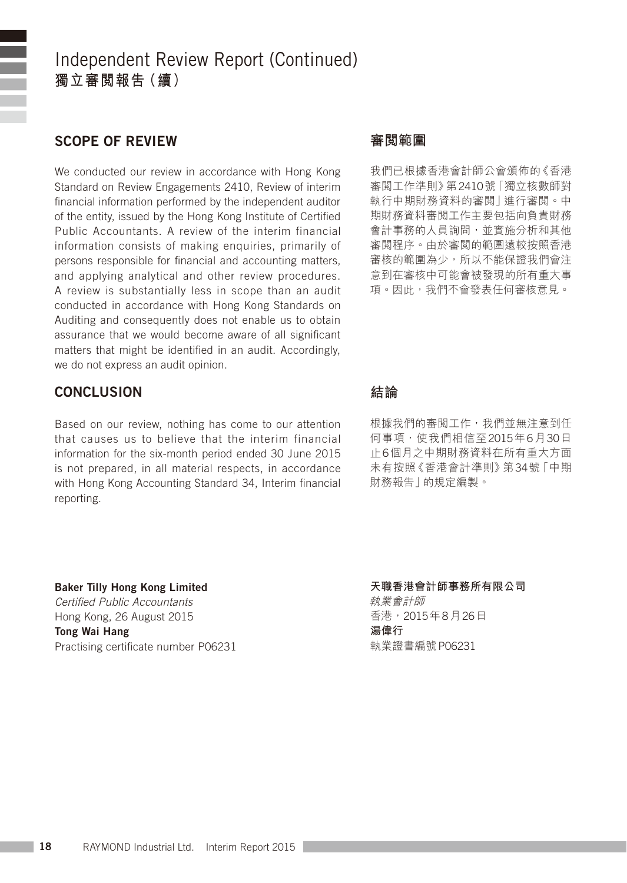### Independent Review Report (Continued) **獨立審閱報告(續)**

#### Scope of review

We conducted our review in accordance with Hong Kong Standard on Review Engagements 2410, Review of interim financial information performed by the independent auditor of the entity, issued by the Hong Kong Institute of Certified Public Accountants. A review of the interim financial information consists of making enquiries, primarily of persons responsible for financial and accounting matters, and applying analytical and other review procedures. A review is substantially less in scope than an audit conducted in accordance with Hong Kong Standards on Auditing and consequently does not enable us to obtain assurance that we would become aware of all significant matters that might be identified in an audit. Accordingly, we do not express an audit opinion.

#### CONCLUSION

Based on our review, nothing has come to our attention that causes us to believe that the interim financial information for the six-month period ended 30 June 2015 is not prepared, in all material respects, in accordance with Hong Kong Accounting Standard 34, Interim financial reporting.

Baker Tilly Hong Kong Limited *Certified Public Accountants* Hong Kong, 26 August 2015 Tong Wai Hang Practising certificate number P06231

#### **審閱範圍**

我們已根據香港會計師公會頒佈的《香港 審閱工作準則》第2410號「獨立核數師對 執行中期財務資料的審閱」進行審閱。中 期財務資料審閱工作主要包括向負責財務 會計事務的人員詢問,並實施分析和其他 審閱程序。由於審閱的範圍遠較按照香港 審核的範圍為少,所以不能保證我們會注 意到在審核中可能會被發現的所有重大事 項。因此,我們不會發表任何審核意見。

#### **結論**

根據我們的審閲工作,我們並無注意到任 何事項,使我們相信至2015年6月30日 止6個月之中期財務資料在所有重大方面 未有按照《香港會計準則》第34號「中期 財務報告」的規定編製。

#### **天職香港會計師事務所有限公司**

執業會計師 香港,2015年8月26日 **湯偉行** 執業證書編號P06231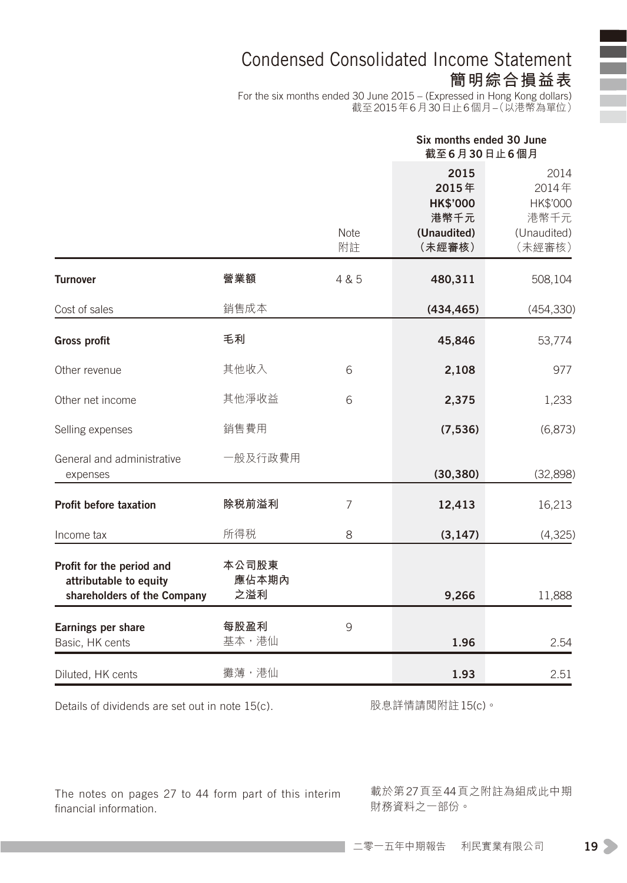### Condensed Consolidated Income Statement **簡明綜合損益表**

For the six months ended 30 June 2015 – (Expressed in Hong Kong dollars) 截至2015年6月30日止6個月–(以港幣為單位)

|                                                                                    |                       |                | Six months ended 30 June<br>截至6月30日止6個月                           |                                                            |
|------------------------------------------------------------------------------------|-----------------------|----------------|-------------------------------------------------------------------|------------------------------------------------------------|
|                                                                                    |                       | Note<br>附註     | 2015<br>2015年<br><b>HK\$'000</b><br>港幣千元<br>(Unaudited)<br>(未經審核) | 2014<br>2014年<br>HK\$'000<br>港幣千元<br>(Unaudited)<br>(未經審核) |
| <b>Turnover</b>                                                                    | 營業額                   | 4 & 5          | 480,311                                                           | 508,104                                                    |
| Cost of sales                                                                      | 銷售成本                  |                | (434, 465)                                                        | (454, 330)                                                 |
| <b>Gross profit</b>                                                                | 毛利                    |                | 45,846                                                            | 53,774                                                     |
| Other revenue                                                                      | 其他收入                  | 6              | 2,108                                                             | 977                                                        |
| Other net income                                                                   | 其他淨收益                 | 6              | 2,375                                                             | 1,233                                                      |
| Selling expenses                                                                   | 銷售費用                  |                | (7, 536)                                                          | (6, 873)                                                   |
| General and administrative<br>expenses                                             | 一般及行政費用               |                | (30, 380)                                                         | (32,898)                                                   |
| <b>Profit before taxation</b>                                                      | 除税前溢利                 | $\overline{7}$ | 12,413                                                            | 16,213                                                     |
| Income tax                                                                         | 所得税                   | 8              | (3, 147)                                                          | (4, 325)                                                   |
| Profit for the period and<br>attributable to equity<br>shareholders of the Company | 本公司股東<br>應佔本期內<br>之溢利 |                | 9,266                                                             | 11,888                                                     |
| Earnings per share<br>Basic, HK cents                                              | 每股盈利<br>基本,港仙         | 9              | 1.96                                                              | 2.54                                                       |
| Diluted, HK cents                                                                  | 攤薄,港仙                 |                | 1.93                                                              | 2.51                                                       |

Details of dividends are set out in note 15(c).

股息詳情請閱附註15(c)。

The notes on pages 27 to 44 form part of this interim financial information.

載於第27頁至44頁之附註為組成此中期 財務資料之一部份。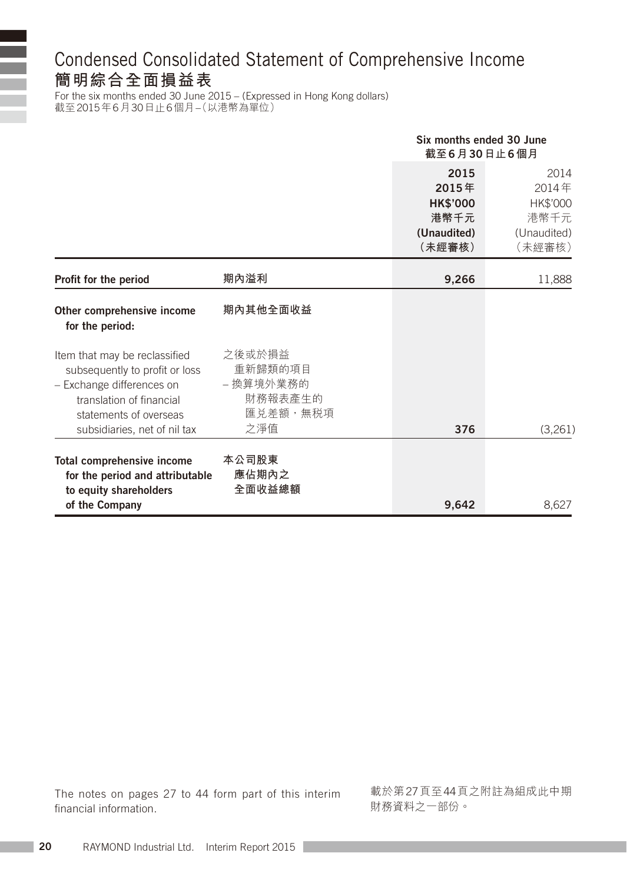## Condensed Consolidated Statement of Comprehensive Income **簡明綜合全面損益表**

For the six months ended 30 June 2015 – (Expressed in Hong Kong dollars) 截至2015年6月30日止6個月–(以港幣為單位)

i.

|                                                                                                                                                                                    |                                                              | Six months ended 30 June<br>截至6月30日止6個月                           |                                                            |
|------------------------------------------------------------------------------------------------------------------------------------------------------------------------------------|--------------------------------------------------------------|-------------------------------------------------------------------|------------------------------------------------------------|
|                                                                                                                                                                                    |                                                              | 2015<br>2015年<br><b>HK\$'000</b><br>港幣千元<br>(Unaudited)<br>(未經審核) | 2014<br>2014年<br>HK\$'000<br>港幣千元<br>(Unaudited)<br>(未經審核) |
| Profit for the period                                                                                                                                                              | 期內溢利                                                         | 9,266                                                             | 11,888                                                     |
| Other comprehensive income<br>for the period:                                                                                                                                      | 期內其他全面收益                                                     |                                                                   |                                                            |
| Item that may be reclassified<br>subsequently to profit or loss<br>- Exchange differences on<br>translation of financial<br>statements of overseas<br>subsidiaries, net of nil tax | 之後或於損益<br>重新歸類的項目<br>- 換算境外業務的<br>財務報表產生的<br>匯兑差額,無税項<br>之淨值 | 376                                                               | (3,261)                                                    |
| Total comprehensive income<br>for the period and attributable<br>to equity shareholders<br>of the Company                                                                          | 本公司股東<br>應佔期內之<br>全面收益總額                                     | 9,642                                                             | 8.627                                                      |

The notes on pages 27 to 44 form part of this interim financial information.

載於第27頁至44頁之附註為組成此中期 財務資料之一部份。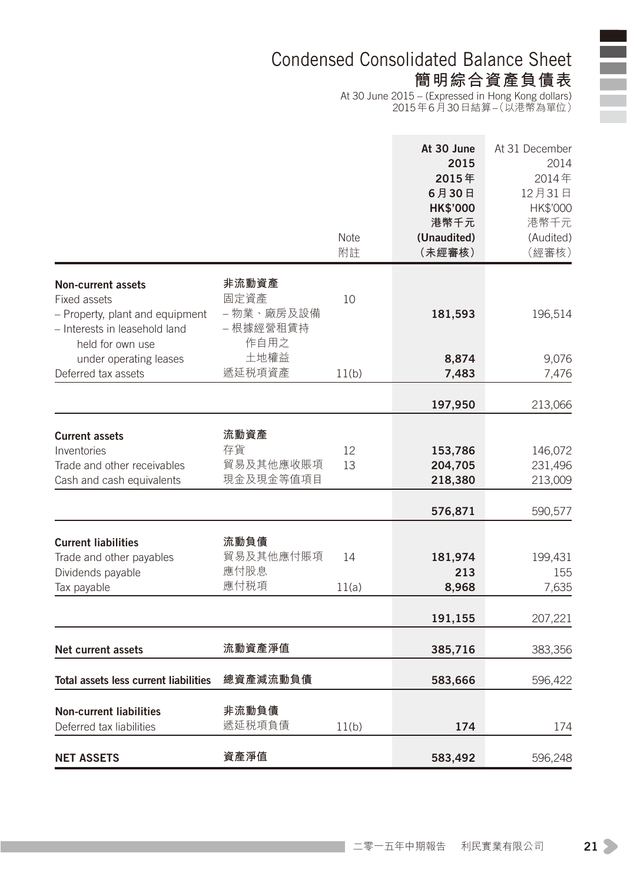### Condensed Consolidated Balance Sheet **簡明綜合資產負債表**

At 30 June 2015 – (Expressed in Hong Kong dollars) 2015年6月30日結算–(以港幣為單位)

|                                                                                                                            |                                                  | <b>Note</b><br>附註 | At 30 June<br>2015<br>2015年<br>6月30日<br><b>HK\$'000</b><br>港幣千元<br>(Unaudited)<br>(未經審核) | At 31 December<br>2014<br>2014年<br>12月31日<br>HK\$'000<br>港幣千元<br>(Audited)<br>(經審核) |
|----------------------------------------------------------------------------------------------------------------------------|--------------------------------------------------|-------------------|------------------------------------------------------------------------------------------|-------------------------------------------------------------------------------------|
| Non-current assets<br>Fixed assets<br>- Property, plant and equipment<br>- Interests in leasehold land<br>held for own use | 非流動資產<br>固定資產<br>- 物業、廠房及設備<br>- 根據經營租賃持<br>作自用之 | 10                | 181,593                                                                                  | 196,514                                                                             |
| under operating leases<br>Deferred tax assets                                                                              | 土地權益<br>遞延税項資產                                   | 11(b)             | 8,874<br>7,483                                                                           | 9,076<br>7,476                                                                      |
|                                                                                                                            |                                                  |                   |                                                                                          |                                                                                     |
|                                                                                                                            |                                                  |                   | 197,950                                                                                  | 213,066                                                                             |
| <b>Current assets</b>                                                                                                      | 流動資產                                             |                   |                                                                                          |                                                                                     |
| Inventories                                                                                                                | 存貨                                               | 12                | 153,786                                                                                  | 146,072                                                                             |
| Trade and other receivables                                                                                                | 貿易及其他應收賬項                                        | 13                | 204,705                                                                                  | 231,496                                                                             |
| Cash and cash equivalents                                                                                                  | 現金及現金等值項目                                        |                   | 218,380                                                                                  | 213,009                                                                             |
|                                                                                                                            |                                                  |                   | 576,871                                                                                  | 590,577                                                                             |
| <b>Current liabilities</b>                                                                                                 | 流動負債                                             |                   |                                                                                          |                                                                                     |
| Trade and other payables                                                                                                   | 貿易及其他應付賬項                                        | 14                | 181,974                                                                                  | 199,431                                                                             |
| Dividends payable                                                                                                          | 應付股息                                             |                   | 213                                                                                      | 155                                                                                 |
| Tax payable                                                                                                                | 應付税項                                             | 11(a)             | 8,968                                                                                    | 7,635                                                                               |
|                                                                                                                            |                                                  |                   | 191,155                                                                                  | 207,221                                                                             |
| Net current assets                                                                                                         | 流動資產淨值                                           |                   | 385,716                                                                                  |                                                                                     |
|                                                                                                                            |                                                  |                   |                                                                                          | 383,356                                                                             |
| Total assets less current liabilities                                                                                      | 總資產減流動負債                                         |                   | 583,666                                                                                  | 596,422                                                                             |
| <b>Non-current liabilities</b>                                                                                             | 非流動負債                                            |                   |                                                                                          |                                                                                     |
| Deferred tax liabilities                                                                                                   | 遞延税項負債                                           | 11(b)             | 174                                                                                      | 174                                                                                 |
| <b>NET ASSETS</b>                                                                                                          | 資產淨值                                             |                   | 583,492                                                                                  | 596,248                                                                             |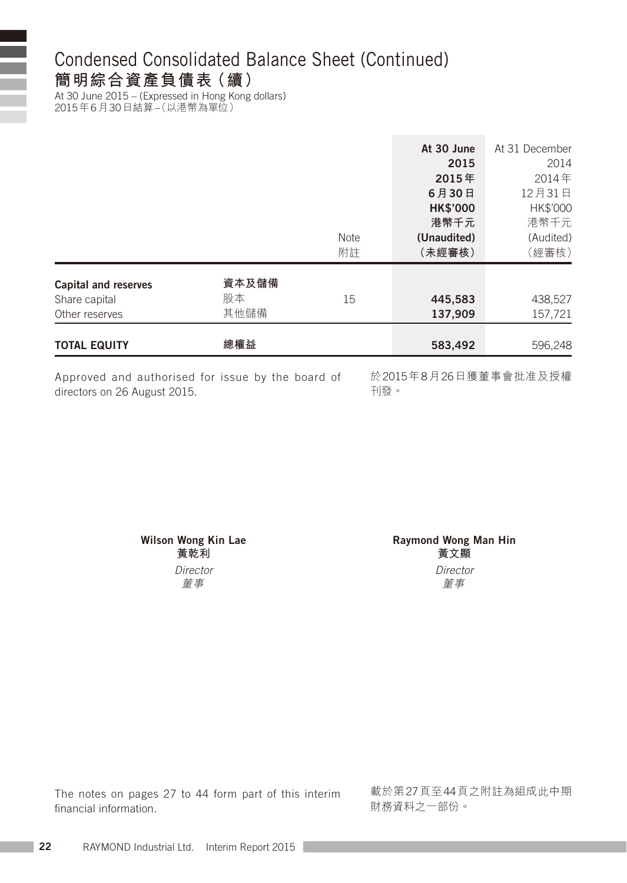### Condensed Consolidated Balance Sheet (Continued) **簡明綜合資產負債表(續)**

At 30 June 2015 – (Expressed in Hong Kong dollars) 2015年6月30日結算–(以港幣為單位)

| <b>TOTAL EQUITY</b>                                            | 總權益                 |                   | 583,492                                                         | 596,248                                                       |
|----------------------------------------------------------------|---------------------|-------------------|-----------------------------------------------------------------|---------------------------------------------------------------|
| <b>Capital and reserves</b><br>Share capital<br>Other reserves | 資本及儲備<br>股本<br>其他儲備 | 15                | 445,583<br>137,909                                              | 438,527<br>157,721                                            |
|                                                                |                     | <b>Note</b><br>附註 | (Unaudited)<br>(未經審核)                                           | (Audited)<br>(經審核)                                            |
|                                                                |                     |                   | At 30 June<br>2015<br>2015年<br>6月30日<br><b>HK\$'000</b><br>港幣千元 | At 31 December<br>2014<br>2014年<br>12月31日<br>HK\$'000<br>港幣千元 |

Approved and authorised for issue by the board of directors on 26 August 2015.

於2015年8月26日獲董事會批准及授權 刊發。

かんじょう しょうしょう じゅんじょう じゅんじょう すいじん 董事

Wilson Wong Kin Lae **Raymond Wong Man Hin 黃乾利 黃文顯** *Director Director*

The notes on pages 27 to 44 form part of this interim financial information.

載於第27頁至44頁之附註為組成此中期 財務資料之一部份。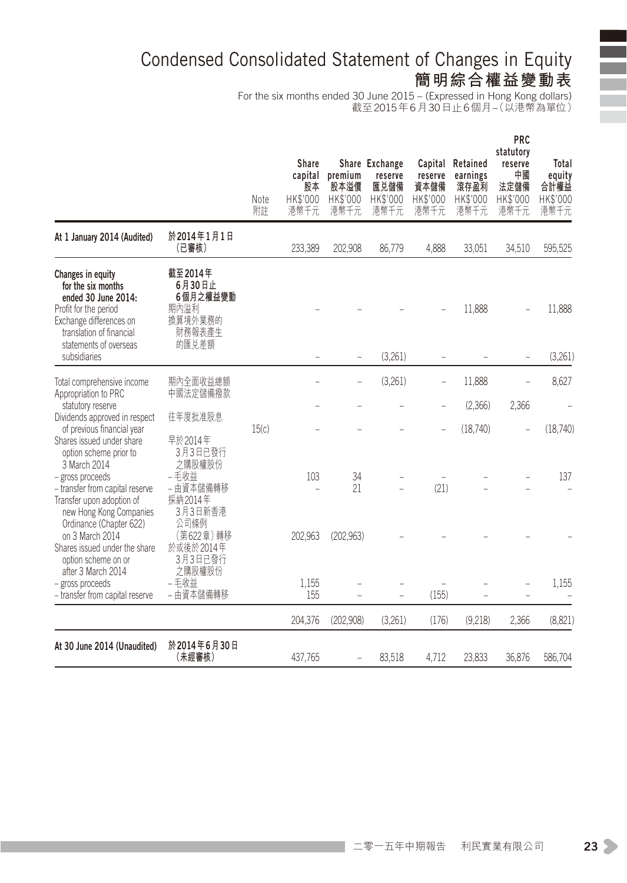# Condensed Consolidated Statement of Changes in Equity **簡明綜合權益變動表**

For the six months ended 30 June 2015 – (Expressed in Hong Kong dollars) 截至2015年6月30日止6個月–(以港幣為單位)

|                                                                                                                                                                                          |                                                                     | Note<br>附註 | <b>Share</b><br>capital<br>股本<br>HK\$'000<br>港幣千元 | premium<br>股本溢價<br>HK\$'000<br>港幣千元 | Share Exchange<br>reserve<br>匯兑儲備<br>HK\$'000<br>港幣千元 | reserve<br>資本儲備<br>HK\$'000<br>港幣千元 | Capital Retained<br>earnings<br>滾存盈利<br>HK\$'000<br>港幣千元 | PRC<br>statutory<br>reserve<br>中國<br>法定儲備<br>HK\$'000<br>港幣千元 | Total<br>equity<br>合計權益<br>HK\$'000<br>港幣千元 |
|------------------------------------------------------------------------------------------------------------------------------------------------------------------------------------------|---------------------------------------------------------------------|------------|---------------------------------------------------|-------------------------------------|-------------------------------------------------------|-------------------------------------|----------------------------------------------------------|---------------------------------------------------------------|---------------------------------------------|
| At 1 January 2014 (Audited)                                                                                                                                                              | 於2014年1月1日<br>(已審核)                                                 |            | 233,389                                           | 202,908                             | 86,779                                                | 4,888                               | 33,051                                                   | 34,510                                                        | 595,525                                     |
| Changes in equity<br>for the six months<br>ended 30 June 2014:<br>Profit for the period<br>Exchange differences on<br>translation of financial<br>statements of overseas<br>subsidiaries | 截至2014年<br>6月30日止<br>6個月之權益變動<br>期內溢利<br>換算境外業務的<br>財務報表產生<br>的匯兑差額 |            |                                                   |                                     | (3,261)                                               |                                     | 11,888                                                   |                                                               | 11,888<br>(3,261)                           |
| Total comprehensive income<br>Appropriation to PRC                                                                                                                                       | 期內全面收益總額<br>中國法定儲備撥款                                                |            |                                                   | $\overline{\phantom{0}}$            | (3,261)                                               | $\overline{\phantom{0}}$            | 11,888                                                   | ÷,                                                            | 8,627                                       |
| statutory reserve<br>Dividends approved in respect                                                                                                                                       | 往年度批准股息                                                             |            |                                                   |                                     |                                                       |                                     | (2,366)                                                  | 2,366                                                         |                                             |
| of previous financial year<br>Shares issued under share<br>option scheme prior to<br>3 March 2014                                                                                        | 早於2014年<br>3月3日已發行<br>之購股權股份                                        | 15(c)      |                                                   |                                     |                                                       |                                     | (18,740)                                                 |                                                               | (18,740)                                    |
| - gross proceeds<br>- transfer from capital reserve<br>Transfer upon adoption of<br>new Hong Kong Companies                                                                              | - 毛收益<br>- 由資本儲備轉移<br>採納2014年<br>3月3日新香港                            |            | 103                                               | 34<br>21                            |                                                       | (21)                                |                                                          |                                                               | 137                                         |
| Ordinance (Chapter 622)<br>on 3 March 2014<br>Shares issued under the share<br>option scheme on or                                                                                       | 公司條例<br>(第622章)轉移<br>於或後於2014年<br>3月3日已發行                           |            | 202,963                                           | (202, 963)                          |                                                       |                                     |                                                          |                                                               |                                             |
| after 3 March 2014<br>- gross proceeds<br>- transfer from capital reserve                                                                                                                | 之購股權股份<br>- 毛收益<br>- 由資本儲備轉移                                        |            | 1,155<br>155                                      |                                     | L.                                                    | (155)                               |                                                          |                                                               | 1,155                                       |
|                                                                                                                                                                                          |                                                                     |            | 204,376                                           | (202.908)                           | (3,261)                                               | (176)                               | (9.218)                                                  | 2,366                                                         | (8,821)                                     |
| At 30 June 2014 (Unaudited)                                                                                                                                                              | 於2014年6月30日<br>(未經審核)                                               |            | 437,765                                           |                                     | 83,518                                                | 4,712                               | 23,833                                                   | 36,876                                                        | 586,704                                     |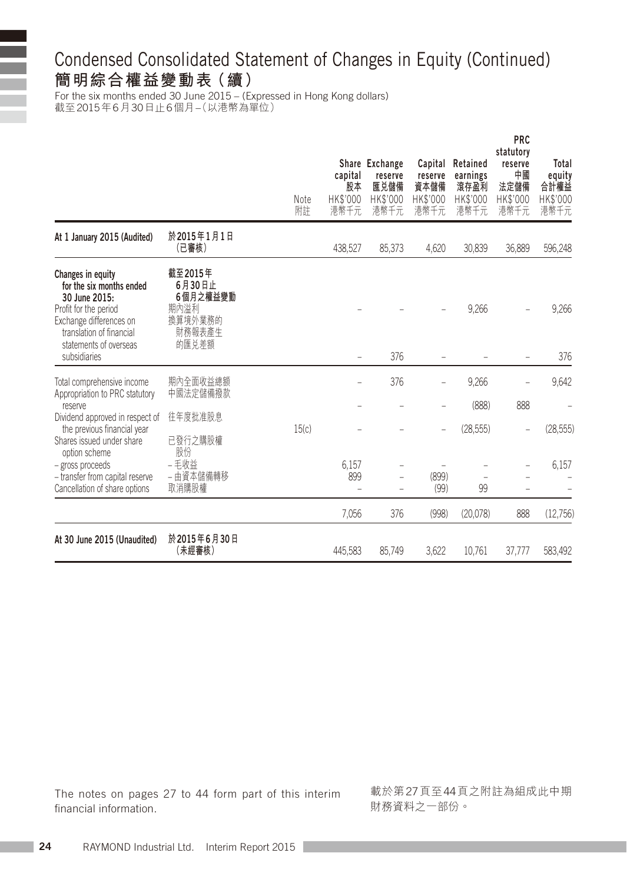# Condensed Consolidated Statement of Changes in Equity (Continued) **簡明綜合權益變動表(續)**

For the six months ended 30 June 2015 – (Expressed in Hong Kong dollars) 截至2015年6月30日止6個月–(以港幣為單位)

|                                                                                                                                                                                          |                                                                     | Note<br>附註 | capital<br>股本<br>HK\$'000<br>港幣千元 | Share Exchange<br>reserve<br>匯兑儲備<br>HK\$'000<br>港幣千元 | Capital<br>reserve<br>資本儲備<br>HK\$'000<br>港幣千元 | Retained<br>earnings<br>滾存盈利<br>HK\$'000<br>港幣千元 | <b>PRC</b><br>statutory<br>reserve<br>中國<br>法定儲備<br>HK\$'000<br>港幣千元 | Total<br>equity<br>合計權益<br>HK\$'000<br>港幣千元 |
|------------------------------------------------------------------------------------------------------------------------------------------------------------------------------------------|---------------------------------------------------------------------|------------|-----------------------------------|-------------------------------------------------------|------------------------------------------------|--------------------------------------------------|----------------------------------------------------------------------|---------------------------------------------|
| At 1 January 2015 (Audited)                                                                                                                                                              | 於2015年1月1日<br>(已審核)                                                 |            | 438.527                           | 85,373                                                | 4.620                                          | 30.839                                           | 36.889                                                               | 596,248                                     |
| Changes in equity<br>for the six months ended<br>30 June 2015:<br>Profit for the period<br>Exchange differences on<br>translation of financial<br>statements of overseas<br>subsidiaries | 截至2015年<br>6月30日止<br>6個月之權益變動<br>期內溢利<br>換算境外業務的<br>財務報表產生<br>的匯兑差額 |            |                                   | 376                                                   |                                                | 9,266                                            |                                                                      | 9,266<br>376                                |
| Total comprehensive income<br>Appropriation to PRC statutory                                                                                                                             | 期內全面收益總額<br>中國法定儲備撥款                                                |            |                                   | 376                                                   |                                                | 9,266                                            |                                                                      | 9,642                                       |
| reserve<br>Dividend approved in respect of                                                                                                                                               | 往年度批准股息                                                             |            |                                   |                                                       |                                                | (888)                                            | 888                                                                  |                                             |
| the previous financial year<br>Shares issued under share<br>option scheme                                                                                                                | 已發行之購股權<br>股份                                                       | 15(c)      |                                   |                                                       |                                                | (28, 555)                                        | -                                                                    | (28, 555)                                   |
| - gross proceeds<br>- transfer from capital reserve<br>Cancellation of share options                                                                                                     | - 毛收益<br>- 由資本儲備轉移<br>取消購股權                                         |            | 6,157<br>899                      |                                                       | (899)<br>(99)                                  | 99                                               |                                                                      | 6,157                                       |
|                                                                                                                                                                                          |                                                                     |            | 7.056                             | 376                                                   | (998)                                          | (20,078)                                         | 888                                                                  | (12,756)                                    |
| At 30 June 2015 (Unaudited)                                                                                                                                                              | 於2015年6月30日<br>(未經審核)                                               |            | 445,583                           | 85,749                                                | 3,622                                          | 10,761                                           | 37,777                                                               | 583,492                                     |

The notes on pages 27 to 44 form part of this interim financial information.

載於第27頁至44頁之附註為組成此中期 財務資料之一部份。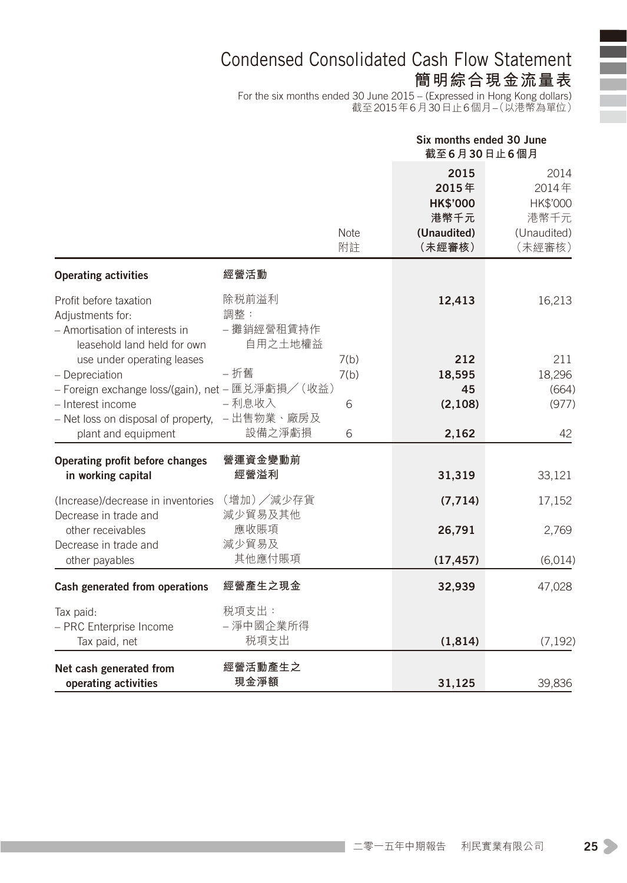### Condensed Consolidated Cash Flow Statement **簡明綜合現金流量表**

For the six months ended 30 June 2015 – (Expressed in Hong Kong dollars) 截至2015年6月30日止6個月–(以港幣為單位)

|                                                                                                             |                                       |                   | Six months ended 30 June<br>截至6月30日止6個月                           |                                                            |  |
|-------------------------------------------------------------------------------------------------------------|---------------------------------------|-------------------|-------------------------------------------------------------------|------------------------------------------------------------|--|
|                                                                                                             |                                       | <b>Note</b><br>附註 | 2015<br>2015年<br><b>HK\$'000</b><br>港幣千元<br>(Unaudited)<br>(未經審核) | 2014<br>2014年<br>HK\$'000<br>港幣千元<br>(Unaudited)<br>(未經審核) |  |
| <b>Operating activities</b>                                                                                 | 經營活動                                  |                   |                                                                   |                                                            |  |
| Profit before taxation<br>Adjustments for:<br>- Amortisation of interests in<br>leasehold land held for own | 除税前溢利<br>調整:<br>- 攤銷經營租賃持作<br>自用之土地權益 |                   | 12,413                                                            | 16,213                                                     |  |
| use under operating leases                                                                                  |                                       | 7(b)              | 212                                                               | 211                                                        |  |
| - Depreciation                                                                                              | - 折舊                                  | 7(b)              | 18,595                                                            | 18,296                                                     |  |
| - Foreign exchange loss/(gain), net - 匯兑淨虧損/(收益)                                                            |                                       |                   | 45                                                                | (664)                                                      |  |
| - Interest income                                                                                           | - 利息收入                                | 6                 | (2, 108)                                                          | (977)                                                      |  |
| - Net loss on disposal of property, - 出售物業、廠房及<br>plant and equipment                                       | 設備之淨虧損                                | 6                 | 2,162                                                             | 42                                                         |  |
|                                                                                                             |                                       |                   |                                                                   |                                                            |  |
| Operating profit before changes                                                                             | 營運資金變動前                               |                   |                                                                   |                                                            |  |
| in working capital                                                                                          | 經營溢利                                  |                   | 31,319                                                            | 33,121                                                     |  |
| (Increase)/decrease in inventories                                                                          | (增加)/減少存貨                             |                   | (7, 714)                                                          | 17,152                                                     |  |
| Decrease in trade and                                                                                       | 減少貿易及其他                               |                   |                                                                   |                                                            |  |
| other receivables                                                                                           | 應收賬項                                  |                   | 26,791                                                            | 2,769                                                      |  |
| Decrease in trade and                                                                                       | 減少貿易及                                 |                   |                                                                   |                                                            |  |
| other payables                                                                                              | 其他應付賬項                                |                   | (17, 457)                                                         | (6,014)                                                    |  |
| Cash generated from operations                                                                              | 經營產生之現金                               |                   | 32,939                                                            | 47,028                                                     |  |
| Tax paid:                                                                                                   | 税項支出:                                 |                   |                                                                   |                                                            |  |
| - PRC Enterprise Income                                                                                     | - 淨中國企業所得                             |                   |                                                                   |                                                            |  |
| Tax paid, net                                                                                               | 税項支出                                  |                   | (1, 814)                                                          | (7, 192)                                                   |  |
| Net cash generated from                                                                                     | 經營活動產生之                               |                   |                                                                   |                                                            |  |
| operating activities                                                                                        | 現金淨額                                  |                   | 31.125                                                            | 39.836                                                     |  |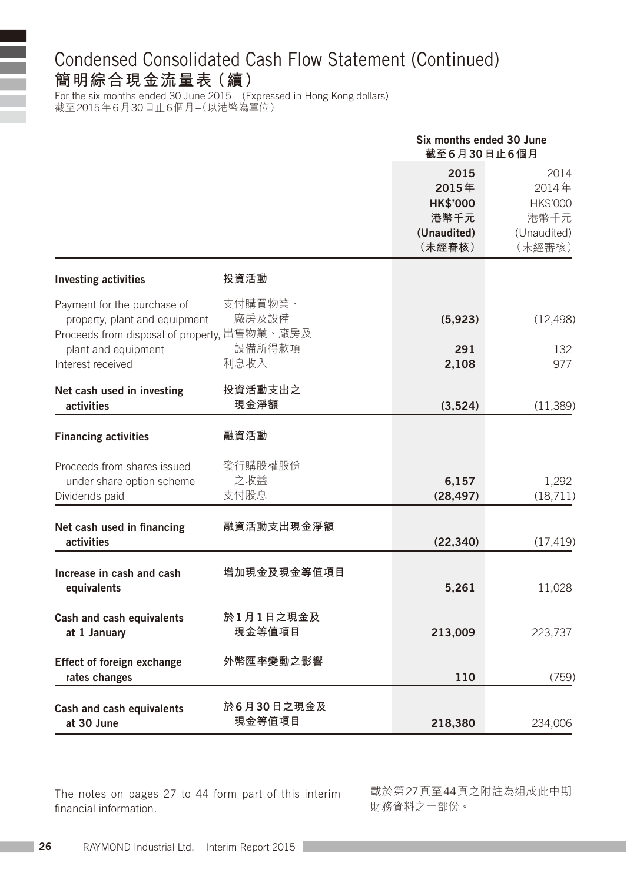### Condensed Consolidated Cash Flow Statement (Continued) **簡明綜合現金流量表(續)**

For the six months ended 30 June 2015 – (Expressed in Hong Kong dollars) 截至2015年6月30日止6個月–(以港幣為單位)

|                                                                                                              |                            | Six months ended 30 June<br>截至6月30日止6個月                           |                                                            |
|--------------------------------------------------------------------------------------------------------------|----------------------------|-------------------------------------------------------------------|------------------------------------------------------------|
|                                                                                                              |                            | 2015<br>2015年<br><b>HK\$'000</b><br>港幣千元<br>(Unaudited)<br>(未經審核) | 2014<br>2014年<br>HK\$'000<br>港幣千元<br>(Unaudited)<br>(未經審核) |
| <b>Investing activities</b>                                                                                  | 投資活動                       |                                                                   |                                                            |
| Payment for the purchase of<br>property, plant and equipment<br>Proceeds from disposal of property, 出售物業、廠房及 | 支付購買物業、<br>廠房及設備<br>設備所得款項 | (5,923)                                                           | (12, 498)                                                  |
| plant and equipment<br>Interest received                                                                     | 利息收入                       | 291<br>2,108                                                      | 132<br>977                                                 |
| Net cash used in investing<br>activities                                                                     | 投資活動支出之<br>現金淨額            | (3,524)                                                           | (11, 389)                                                  |
| <b>Financing activities</b>                                                                                  | 融資活動                       |                                                                   |                                                            |
| Proceeds from shares issued<br>under share option scheme<br>Dividends paid                                   | 發行購股權股份<br>之收益<br>支付股息     | 6,157<br>(28, 497)                                                | 1,292<br>(18, 711)                                         |
| Net cash used in financing<br>activities                                                                     | 融資活動支出現金淨額                 | (22, 340)                                                         | (17, 419)                                                  |
| Increase in cash and cash<br>equivalents                                                                     | 增加現金及現金等值項目                | 5,261                                                             | 11,028                                                     |
| Cash and cash equivalents<br>at 1 January                                                                    | 於1月1日之現金及<br>現金等值項目        | 213,009                                                           | 223,737                                                    |
| Effect of foreign exchange<br>rates changes                                                                  | 外幣匯率變動之影響                  | 110                                                               | (759)                                                      |
| Cash and cash equivalents<br>at 30 June                                                                      | 於6月30日之現金及<br>現金等值項目       | 218,380                                                           | 234,006                                                    |

The notes on pages 27 to 44 form part of this interim financial information.

載於第27頁至44頁之附註為組成此中期 財務資料之一部份。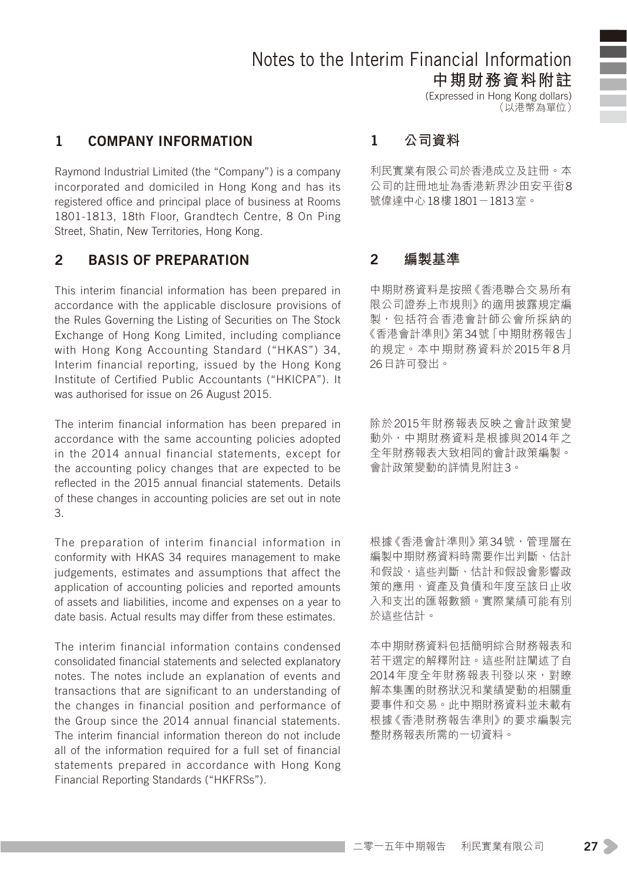### Notes to the Interim Financial Information **中期財務資料附註**

(Expressed in Hong Kong dollars) (以港幣為單位)

#### 1 Company information

Raymond Industrial Limited (the "Company") is a company incorporated and domiciled in Hong Kong and has its registered office and principal place of business at Rooms 1801-1813, 18th Floor, Grandtech Centre, 8 On Ping Street, Shatin, New Territories, Hong Kong.

#### 2 Basis of preparation

This interim financial information has been prepared in accordance with the applicable disclosure provisions of the Rules Governing the Listing of Securities on The Stock Exchange of Hong Kong Limited, including compliance with Hong Kong Accounting Standard ("HKAS") 34, Interim financial reporting, issued by the Hong Kong Institute of Certified Public Accountants ("HKICPA"). It was authorised for issue on 26 August 2015.

The interim financial information has been prepared in accordance with the same accounting policies adopted in the 2014 annual financial statements, except for the accounting policy changes that are expected to be reflected in the 2015 annual financial statements. Details of these changes in accounting policies are set out in note 3.

The preparation of interim financial information in conformity with HKAS 34 requires management to make judgements, estimates and assumptions that affect the application of accounting policies and reported amounts of assets and liabilities, income and expenses on a year to date basis. Actual results may differ from these estimates.

The interim financial information contains condensed consolidated financial statements and selected explanatory notes. The notes include an explanation of events and transactions that are significant to an understanding of the changes in financial position and performance of the Group since the 2014 annual financial statements. The interim financial information thereon do not include all of the information required for a full set of financial statements prepared in accordance with Hong Kong Financial Reporting Standards ("HKFRSs").

#### 1 **公司資料**

利民實業有限公司於香港成立及註冊。本 公司的註冊地址為香港新界沙田安平街8 號偉達中心18樓1801-1813室。

#### 2 **編製基準**

中期財務資料是按照《香港聯合交易所有 限公司證券上市規則》的適用披露規定編 製,包括符合香港會計師公會所採納的 《香港會計準則》第34號「中期財務報告」 的規定。本中期財務資料於2015年8月 26日許可發出。

除於2015年財務報表反映之會計政策變 動外,中期財務資料是根據與2014年之 全年財務報表大致相同的會計政策編製。 會計政策變動的詳情見附註3。

根據《香港會計準則》 第34號,管理層在 編製中期財務資料時需要作出判斷、估計 和假設,這些判斷、估計和假設會影響政 策的應用、資產及負債和年度至該日止收 入和支出的匯報數額。實際業績可能有別 於這些估計。

本中期財務資料包括簡明綜合財務報表和 若干選定的解釋附註。這些附註闡述了自 2014年度全年財務報表刊發以來,對瞭 解本集團的財務狀況和業績變動的相關重 要事件和交易。此中期財務資料並未載有 根據《香港財務報告準則》的要求編製完 整財務報表所需的一切資料。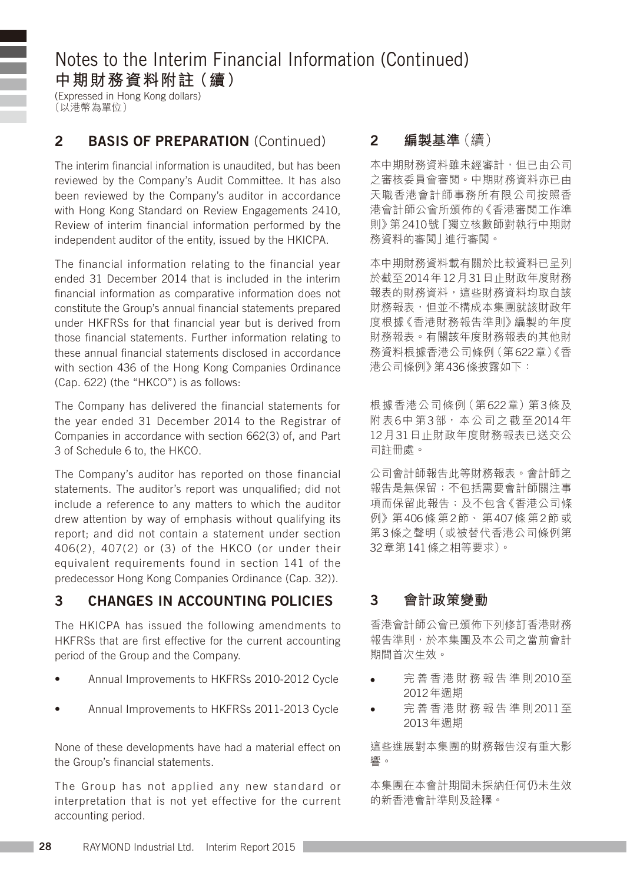(Expressed in Hong Kong dollars) (以港幣為單位)

#### 2 BASIS OF PREPARATION (Continued)

The interim financial information is unaudited, but has been reviewed by the Company's Audit Committee. It has also been reviewed by the Company's auditor in accordance with Hong Kong Standard on Review Engagements 2410, Review of interim financial information performed by the independent auditor of the entity, issued by the HKICPA.

The financial information relating to the financial year ended 31 December 2014 that is included in the interim financial information as comparative information does not constitute the Group's annual financial statements prepared under HKFRSs for that financial year but is derived from those financial statements. Further information relating to these annual financial statements disclosed in accordance with section 436 of the Hong Kong Companies Ordinance (Cap. 622) (the "HKCO") is as follows:

The Company has delivered the financial statements for the year ended 31 December 2014 to the Registrar of Companies in accordance with section 662(3) of, and Part 3 of Schedule 6 to, the HKCO.

The Company's auditor has reported on those financial statements. The auditor's report was unqualified; did not include a reference to any matters to which the auditor drew attention by way of emphasis without qualifying its report; and did not contain a statement under section 406(2), 407(2) or (3) of the HKCO (or under their equivalent requirements found in section 141 of the predecessor Hong Kong Companies Ordinance (Cap. 32)).

### 3 Changes in accounting policies

The HKICPA has issued the following amendments to HKFRSs that are first effective for the current accounting period of the Group and the Company.

- Annual Improvements to HKFRSs 2010-2012 Cycle
- Annual Improvements to HKFRSs 2011-2013 Cycle

None of these developments have had a material effect on the Group's financial statements.

The Group has not applied any new standard or interpretation that is not yet effective for the current accounting period.

#### 2 **編製基準**(續)

本中期財務資料雖未經審計,但已由公司 之審核委員會審閱。中期財務資料亦已由 天職香港會計師事務所有限公司按照香 港會計師公會所頒佈的《香港審閱工作準 則》第2410號「獨立核數師對執行中期財 務資料的審閱」進行審閱。

本中期財務資料載有關於比較資料已呈列 於截至2014年12月31日止財政年度財務 報表的財務資料,這些財務資料均取自該 財務報表,但並不構成本集團就該財政年 度根據《香港財務報告準則》編製的年度 財務報表。有關該年度財務報表的其他財 務資料根據香港公司條例(第622章)《香 港公司條例》第436條披露如下:

根據香港公司條例(第622章)第3條及 附表6中第3部,本公司之截至2014年 12月31日止財政年度財務報表已送交公 司註冊處。

公司會計師報告此等財務報表。會計師之 報告是無保留;不包括需要會計師關注事 項而保留此報告;及不包含《香港公司條 例》第406條 第2節、 第407條 第2節 或 第3條之聲明(或被替代香港公司條例第 32章第141條之相等要求)。

#### 3 **會計政策變動**

香港會計師公會已頒佈下列修訂香港財務 報告準則,於本集團及本公司之當前會計 期間首次生效。

- • 完 善 香 港 財 務 報 告 準 則2010至 2012年週期
- 完善 香港財務報告準則2011至 2013年週期

這些進展對本集團的財務報告沒有重大影 響。

本集團在本會計期間未採納任何仍未生效 的新香港會計準則及詮釋。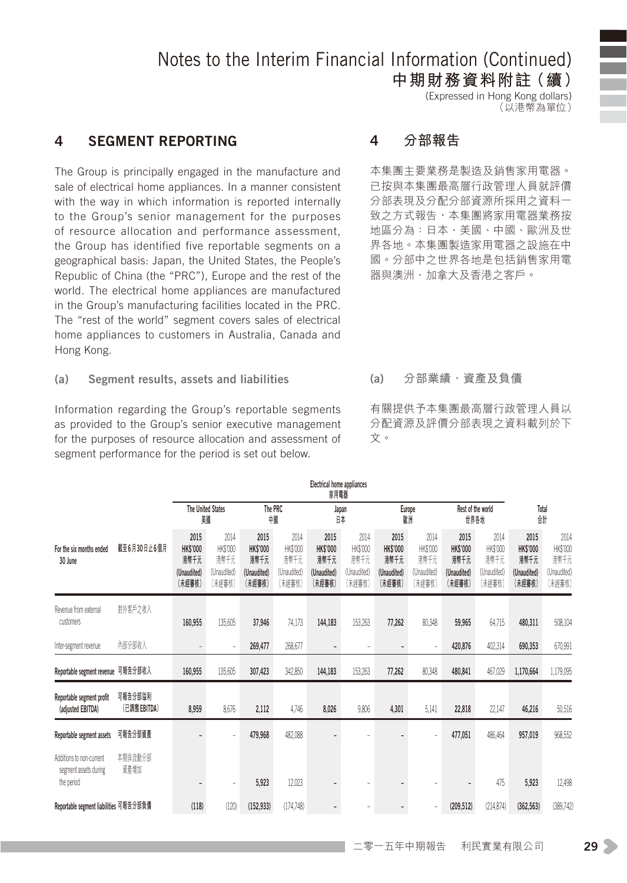**中期財務資料附註(續)** (Expressed in Hong Kong dollars) …。……。<br>(以港幣為單位)

#### 4 Segment reporting

The Group is principally engaged in the manufacture and sale of electrical home appliances. In a manner consistent with the way in which information is reported internally to the Group's senior management for the purposes of resource allocation and performance assessment, the Group has identified five reportable segments on a geographical basis: Japan, the United States, the People's Republic of China (the "PRC"), Europe and the rest of the world. The electrical home appliances are manufactured in the Group's manufacturing facilities located in the PRC. The "rest of the world" segment covers sales of electrical home appliances to customers in Australia, Canada and Hong Kong.

(a) Segment results, assets and liabilities

Information regarding the Group's reportable segments as provided to the Group's senior executive management for the purposes of resource allocation and assessment of segment performance for the period is set out below.

#### 4 **分部報告**

本集團主要業務是製造及銷售家用電器。 已按與本集團最高層行政管理人員就評價 分部表現及分配分部資源所採用之資料一 致之方式報告,本集團將家用電器業務按 地區分為:日本、美國、中國、歐洲及世 界各地。本集團製造家用電器之設施在中 國。分部中之世界各地是包括銷售家用電 器與澳洲、加拿大及香港之客戶。

#### (a) **分部業績、資產及負債**

有關提供予本集團最高層行政管理人員以 分配資源及評價分部表現之資料載列於下 文。

| Electrical home appliances<br>家用電器                              |                         |                                                          |                                                   |                                                          |                                                   |                                                          |                                                   |                                                          |                                                   |                                                          |                                                   |                                                          |                                                   |
|-----------------------------------------------------------------|-------------------------|----------------------------------------------------------|---------------------------------------------------|----------------------------------------------------------|---------------------------------------------------|----------------------------------------------------------|---------------------------------------------------|----------------------------------------------------------|---------------------------------------------------|----------------------------------------------------------|---------------------------------------------------|----------------------------------------------------------|---------------------------------------------------|
|                                                                 |                         | 譝                                                        | <b>The United States</b>                          | The PRC<br>帽                                             |                                                   |                                                          | Japan<br>日本                                       | 歐洲                                                       | Europe                                            |                                                          | Rest of the world<br>世界各地                         | Total<br>給                                               |                                                   |
| For the six months ended<br>30 June                             | 截至6月30日止6個月             | 2015<br><b>HK\$'000</b><br>港幣千元<br>(Unaudited)<br>(未經審核) | 2014<br>HK\$'000<br>港幣千元<br>(Unaudited)<br>(未經審核) | 2015<br><b>HK\$'000</b><br>港幣千元<br>(Unaudited)<br>(未經審核) | 2014<br>HK\$'000<br>港幣千元<br>(Unaudited)<br>(未經審核) | 2015<br><b>HK\$'000</b><br>港幣千元<br>(Unaudited)<br>(未經審核) | 2014<br>HK\$'000<br>港幣千元<br>(Unaudited)<br>(未經審核) | 2015<br><b>HK\$'000</b><br>港幣千元<br>(Unaudited)<br>(未經審核) | 2014<br>HK\$'000<br>港幣千元<br>(Unaudited)<br>(未經審核) | 2015<br><b>HK\$'000</b><br>港幣千元<br>(Unaudited)<br>(未經審核) | 2014<br>HK\$'000<br>清幣千元<br>(Unaudited)<br>(未經審核) | 2015<br><b>HK\$'000</b><br>港幣千元<br>(Unaudited)<br>(未經審核) | 2014<br>HK\$'000<br>港幣千元<br>(Unaudited)<br>(未經審核) |
| Revenue from external<br>customers                              | 對外客戶之收入                 | 160,955                                                  | 135,605                                           | 37,946                                                   | 74,173                                            | 144,183                                                  | 153,263                                           | 77,262                                                   | 80,348                                            | 59,965                                                   | 64,715                                            | 480,311                                                  | 508,104                                           |
| Inter-segment revenue                                           | 内部分部收入                  |                                                          |                                                   | 269,477                                                  | 268,677                                           | $\overline{\phantom{a}}$                                 |                                                   | $\overline{a}$                                           |                                                   | 420,876                                                  | 402,314                                           | 690.353                                                  | 670,991                                           |
| Reportable segment revenue 可報告分部收入                              |                         | 160,955                                                  | 135,605                                           | 307,423                                                  | 342,850                                           | 144,183                                                  | 153,263                                           | 77,262                                                   | 80,348                                            | 480,841                                                  | 467,029                                           | 1,170,664                                                | 1,179,095                                         |
| Reportable segment profit<br>(adjusted EBITDA)                  | 可報告分部溢利<br>(已調整 EBITDA) | 8,959                                                    | 8,676                                             | 2,112                                                    | 4,746                                             | 8,026                                                    | 9,806                                             | 4,301                                                    | 5,141                                             | 22,818                                                   | 22,147                                            | 46,216                                                   | 50,516                                            |
| Reportable segment assets                                       | 可報告分部資產                 |                                                          |                                                   | 479,968                                                  | 482.088                                           | $\overline{\phantom{m}}$                                 |                                                   |                                                          |                                                   | 477,051                                                  | 486.464                                           | 957,019                                                  | 968,552                                           |
| Additions to non-current<br>segment assets during<br>the period | 本期非流動分部<br>資產增加         |                                                          |                                                   | 5,923                                                    | 12,023                                            |                                                          |                                                   |                                                          |                                                   |                                                          | 475                                               | 5,923                                                    | 12,498                                            |
| Reportable segment liabilities 可報告分部負債                          |                         | (118)                                                    | (120)                                             | (152, 933)                                               | (174, 748)                                        | $\overline{\phantom{a}}$                                 |                                                   |                                                          |                                                   | (209, 512)                                               | (214, 874)                                        | (362, 563)                                               | (389, 742)                                        |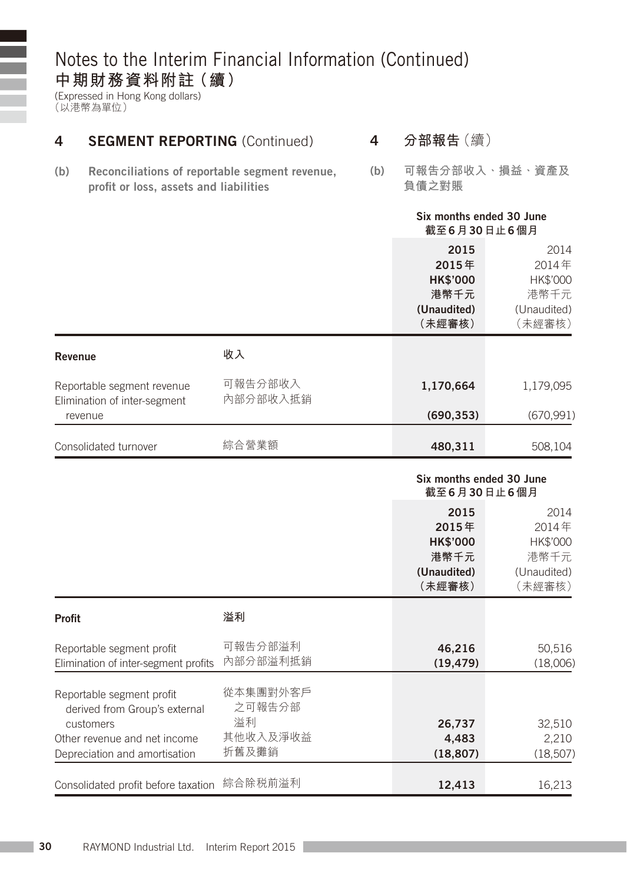(Expressed in Hong Kong dollars) (以港幣為單位)

ī Ŧ

| 4       | <b>SEGMENT REPORTING (Continued)</b>                                                     |                     |  | 分部報告 (續)                                                          |                                                            |
|---------|------------------------------------------------------------------------------------------|---------------------|--|-------------------------------------------------------------------|------------------------------------------------------------|
| (b)     | Reconciliations of reportable segment revenue,<br>profit or loss, assets and liabilities |                     |  | 負債之對賬                                                             | 可報告分部收入、損益、資產及                                             |
|         |                                                                                          |                     |  | Six months ended 30 June<br>截至6月30日止6個月                           |                                                            |
|         |                                                                                          |                     |  | 2015<br>2015年<br><b>HK\$'000</b><br>港幣千元<br>(Unaudited)<br>(未經審核) | 2014<br>2014年<br>HK\$'000<br>港幣千元<br>(Unaudited)<br>(未經審核) |
| Revenue |                                                                                          | 收入                  |  |                                                                   |                                                            |
|         | Reportable segment revenue<br>Elimination of inter-segment                               | 可報告分部收入<br>內部分部收入抵銷 |  | 1,170,664                                                         | 1,179,095                                                  |
|         | revenue                                                                                  |                     |  | (690, 353)                                                        | (670, 991)                                                 |
|         | Consolidated turnover                                                                    | 綜合營業額               |  | 480,311                                                           | 508,104                                                    |
|         |                                                                                          |                     |  | Six months ended 30 June<br>截至6月30日止6個月                           |                                                            |
|         |                                                                                          |                     |  | 2015<br>2015年<br><b>HK\$'000</b><br>港幣千元<br>(Unaudited)<br>(未經審核) | 2014<br>2014年<br>HK\$'000<br>港幣千元<br>(Unaudited)<br>(未經審核) |
| Profit  |                                                                                          | 溢利                  |  |                                                                   |                                                            |

| гічін                                                                                                                                    |                                               |                              |                             |
|------------------------------------------------------------------------------------------------------------------------------------------|-----------------------------------------------|------------------------------|-----------------------------|
| Reportable segment profit<br>Elimination of inter-segment profits                                                                        | 可報告分部溢利<br>內部分部溢利抵銷                           | 46.216<br>(19, 479)          | 50,516<br>(18,006)          |
| Reportable segment profit<br>derived from Group's external<br>customers<br>Other revenue and net income<br>Depreciation and amortisation | 從本集團對外客戶<br>之可報告分部<br>溢利<br>其他收入及淨收益<br>折舊及攤銷 | 26,737<br>4.483<br>(18, 807) | 32,510<br>2.210<br>(18,507) |
| Consolidated profit before taxation                                                                                                      | 綜合除税前溢利                                       | 12.413                       | 16.213                      |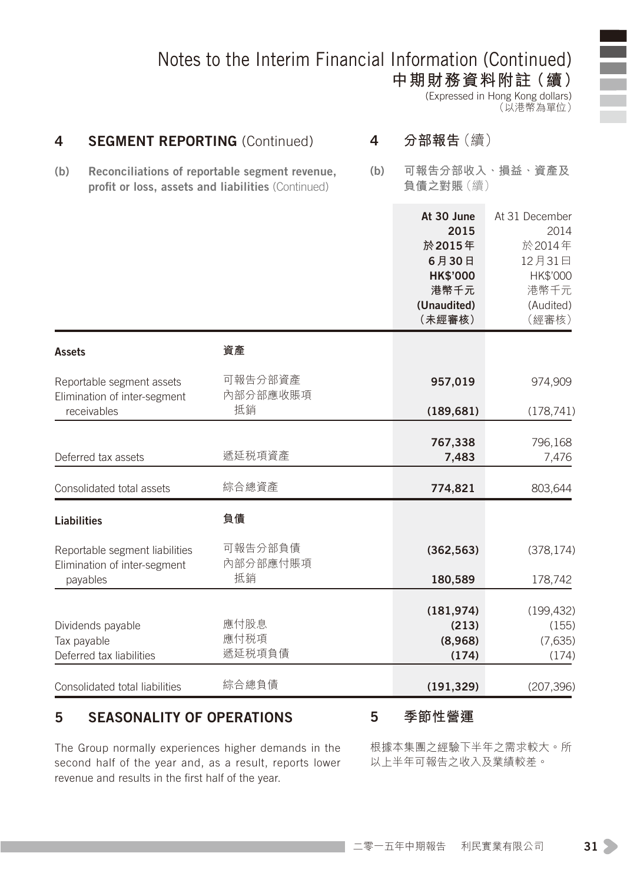**中期財務資料附註(續)** (Expressed in Hong Kong dollars) (以港幣為單位)

| 4                                                         | 4<br><b>SEGMENT REPORTING (Continued)</b>                      |                                                                                                      |     | 分部報告(續)                                                                                   |                                                                                      |  |
|-----------------------------------------------------------|----------------------------------------------------------------|------------------------------------------------------------------------------------------------------|-----|-------------------------------------------------------------------------------------------|--------------------------------------------------------------------------------------|--|
| (b)                                                       |                                                                | Reconciliations of reportable segment revenue,<br>profit or loss, assets and liabilities (Continued) | (b) | 負債之對賬(續)                                                                                  | 可報告分部收入、損益、資產及                                                                       |  |
|                                                           |                                                                |                                                                                                      |     | At 30 June<br>2015<br>於2015年<br>6月30日<br><b>HK\$'000</b><br>港幣千元<br>(Unaudited)<br>(未經審核) | At 31 December<br>2014<br>於2014年<br>12月31日<br>HK\$'000<br>港幣千元<br>(Audited)<br>(經審核) |  |
| <b>Assets</b>                                             |                                                                | 資產                                                                                                   |     |                                                                                           |                                                                                      |  |
| Reportable segment assets<br>Elimination of inter-segment |                                                                | 可報告分部資產<br>內部分部應收賬項                                                                                  |     | 957,019                                                                                   | 974,909                                                                              |  |
| receivables                                               |                                                                | 抵銷                                                                                                   |     | (189, 681)                                                                                | (178, 741)                                                                           |  |
|                                                           | Deferred tax assets                                            | 遞延税項資產                                                                                               |     | 767,338<br>7,483                                                                          | 796,168<br>7,476                                                                     |  |
|                                                           | Consolidated total assets                                      | 綜合總資產                                                                                                |     | 774,821                                                                                   | 803,644                                                                              |  |
| <b>Liabilities</b>                                        |                                                                | 負債                                                                                                   |     |                                                                                           |                                                                                      |  |
|                                                           | Reportable segment liabilities<br>Elimination of inter-segment | 可報告分部負債<br>內部分部應付賬項                                                                                  |     | (362, 563)                                                                                | (378, 174)                                                                           |  |
| payables                                                  |                                                                | 抵銷                                                                                                   |     | 180,589                                                                                   | 178,742                                                                              |  |
| Tax payable                                               | Dividends payable<br>Deferred tax liabilities                  | 應付股息<br>應付税項<br>遞延税項負債                                                                               |     | (181, 974)<br>(213)<br>(8,968)<br>(174)                                                   | (199, 432)<br>(155)<br>(7,635)<br>(174)                                              |  |
|                                                           | Consolidated total liabilities                                 | 綜合總負債                                                                                                |     | (191, 329)                                                                                | (207, 396)                                                                           |  |

#### 5 Seasonality of operations

5 **季節性營運**

The Group normally experiences higher demands in the second half of the year and, as a result, reports lower revenue and results in the first half of the year.

根據本集團之經驗下半年之需求較大。所 以上半年可報告之收入及業績較差。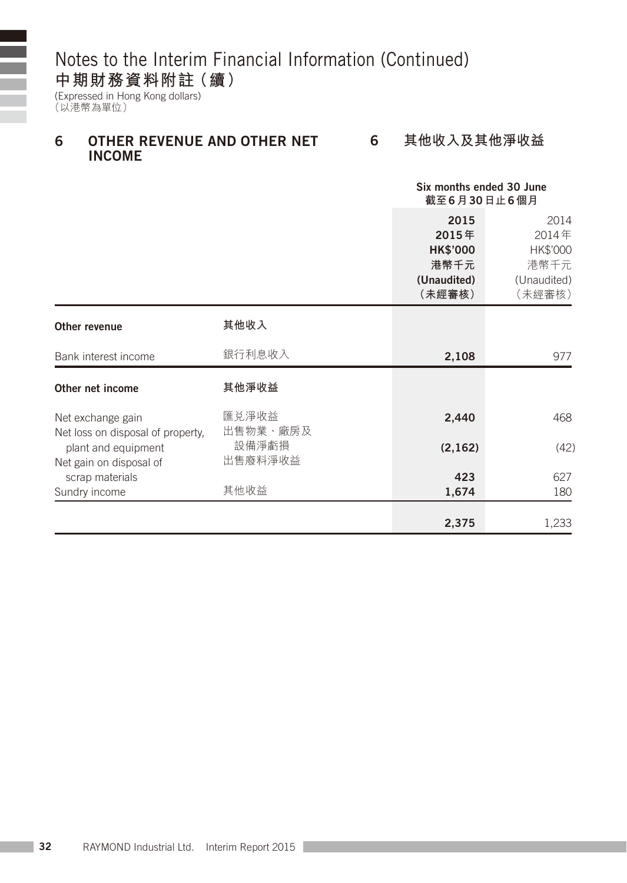### **中期財務資料附註(續)**

(Expressed in Hong Kong dollars) (以港幣為單位)

#### 6 Other revenue and other net income 6 **其他收入及其他淨收益**

|                                                        |                   | Six months ended 30 June<br>截至6月30日止6個月                           |                                                            |
|--------------------------------------------------------|-------------------|-------------------------------------------------------------------|------------------------------------------------------------|
|                                                        |                   | 2015<br>2015年<br><b>HK\$'000</b><br>港幣千元<br>(Unaudited)<br>(未經審核) | 2014<br>2014年<br>HK\$'000<br>港幣千元<br>(Unaudited)<br>(未經審核) |
| Other revenue                                          | 其他收入              |                                                                   |                                                            |
| Bank interest income                                   | 銀行利息收入            | 2,108                                                             | 977                                                        |
| Other net income                                       | 其他淨收益             |                                                                   |                                                            |
| Net exchange gain<br>Net loss on disposal of property, | 匯兑淨收益<br>出售物業、廠房及 | 2,440                                                             | 468                                                        |
| plant and equipment<br>Net gain on disposal of         | 設備淨虧損<br>出售廢料淨收益  | (2, 162)                                                          | (42)                                                       |
| scrap materials                                        |                   | 423                                                               | 627                                                        |
| Sundry income                                          | 其他收益              | 1,674                                                             | 180                                                        |
|                                                        |                   | 2,375                                                             | 1,233                                                      |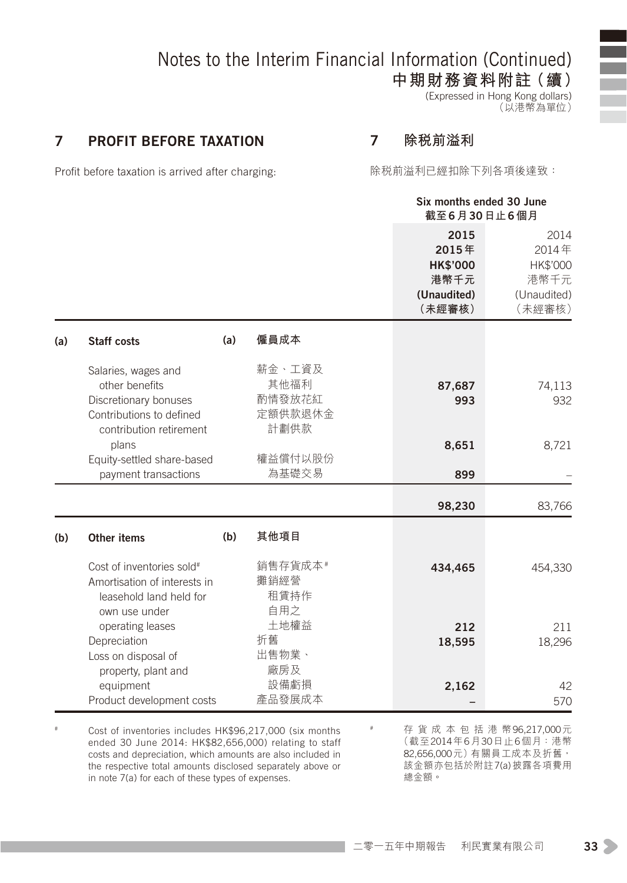**中期財務資料附註(續)**

(Expressed in Hong Kong dollars) (以港幣為單位)

#### 7 Profit before taxation

7 **除稅前溢利**

Profit before taxation is arrived after charging:

除稅前溢利已經扣除下列各項後達致:

|             |                                                                                                                                                                                                                                                                                                                                                                                     | Six months ended 30 June                                          |                                                            |
|-------------|-------------------------------------------------------------------------------------------------------------------------------------------------------------------------------------------------------------------------------------------------------------------------------------------------------------------------------------------------------------------------------------|-------------------------------------------------------------------|------------------------------------------------------------|
|             |                                                                                                                                                                                                                                                                                                                                                                                     | 2015<br>2015年<br><b>HK\$'000</b><br>港幣千元<br>(Unaudited)<br>(未經審核) | 2014<br>2014年<br>HK\$'000<br>港幣千元<br>(Unaudited)<br>(未經審核) |
| (a)         | 僱員成本                                                                                                                                                                                                                                                                                                                                                                                |                                                                   |                                                            |
|             | 薪金、工資及<br>其他福利<br>酌情發放花紅<br>定額供款退休金                                                                                                                                                                                                                                                                                                                                                 | 87,687<br>993                                                     | 74,113<br>932                                              |
|             | 權益償付以股份<br>為基礎交易                                                                                                                                                                                                                                                                                                                                                                    | 8,651<br>899                                                      | 8,721                                                      |
|             |                                                                                                                                                                                                                                                                                                                                                                                     | 98,230                                                            | 83,766                                                     |
| (b)         | 其他項目                                                                                                                                                                                                                                                                                                                                                                                |                                                                   |                                                            |
|             | 銷售存貨成本#<br>攤銷經營<br>租賃持作<br>自用之                                                                                                                                                                                                                                                                                                                                                      | 434,465                                                           | 454,330                                                    |
|             | 土地權益<br>折舊<br>出售物業、                                                                                                                                                                                                                                                                                                                                                                 | 212<br>18,595                                                     | 211<br>18,296                                              |
|             | 設備虧損                                                                                                                                                                                                                                                                                                                                                                                | 2,162                                                             | 42<br>570                                                  |
| Other items | Salaries, wages and<br>other benefits<br>Discretionary bonuses<br>Contributions to defined<br>contribution retirement<br>Equity-settled share-based<br>payment transactions<br>Cost of inventories sold#<br>Amortisation of interests in<br>leasehold land held for<br>own use under<br>operating leases<br>Depreciation<br>Loss on disposal of<br>property, plant and<br>equipment | 計劃供款<br>廠房及<br>產品發展成本<br>Product development costs                | 截至6月30日止6個月                                                |

# Cost of inventories includes HK\$96,217,000 (six months ended 30 June 2014: HK\$82,656,000) relating to staff costs and depreciation, which amounts are also included in the respective total amounts disclosed separately above or in note 7(a) for each of these types of expenses.

# 存 貨 成 本 包 括 港 幣96,217,000元 (截至2014年6月30日止6個月:港幣 82,656,000元)有關員工成本及折舊, 該金額亦包括於附註7(a)披露各項費用 總金額。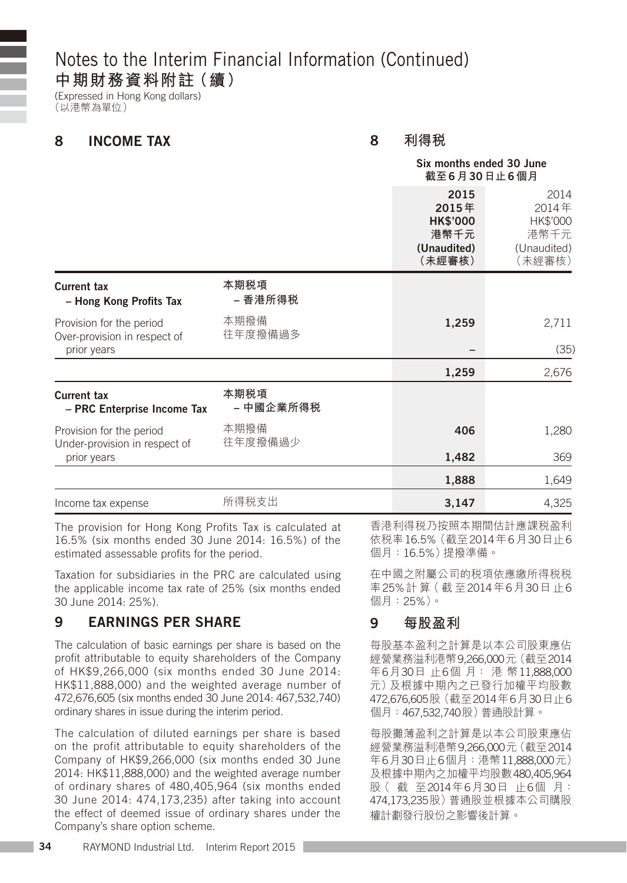### **中期財務資料附註(續)**

(Expressed in Hong Kong dollars) (以港幣為單位)

#### 8 Income tax

8 **利得稅**

|                                                                         |                   |                                                                   | Six months ended 30 June<br>截至6月30日止6個月                    |  |  |
|-------------------------------------------------------------------------|-------------------|-------------------------------------------------------------------|------------------------------------------------------------|--|--|
|                                                                         |                   | 2015<br>2015年<br><b>HK\$'000</b><br>港幣千元<br>(Unaudited)<br>(未經審核) | 2014<br>2014年<br>HK\$'000<br>港幣千元<br>(Unaudited)<br>(未經審核) |  |  |
| <b>Current tax</b><br>- Hong Kong Profits Tax                           | 本期税項<br>– 香港所得税   |                                                                   |                                                            |  |  |
| Provision for the period<br>Over-provision in respect of<br>prior years | 本期撥備<br>往年度撥備過多   | 1,259                                                             | 2,711<br>(35)                                              |  |  |
|                                                                         |                   | 1,259                                                             | 2,676                                                      |  |  |
| <b>Current tax</b><br>- PRC Enterprise Income Tax                       | 本期税項<br>– 中國企業所得税 |                                                                   |                                                            |  |  |
| Provision for the period<br>Under-provision in respect of               | 本期撥備<br>往年度撥備過少   | 406<br>1,482                                                      | 1,280<br>369                                               |  |  |
| prior years                                                             |                   | 1,888                                                             | 1,649                                                      |  |  |
| Income tax expense                                                      | 所得税支出             | 3,147                                                             | 4,325                                                      |  |  |
|                                                                         |                   |                                                                   |                                                            |  |  |

The provision for Hong Kong Profits Tax is calculated at 16.5% (six months ended 30 June 2014: 16.5%) of the estimated assessable profits for the period.

Taxation for subsidiaries in the PRC are calculated using the applicable income tax rate of 25% (six months ended 30 June 2014: 25%).

#### 9 Earnings per share

The calculation of basic earnings per share is based on the profit attributable to equity shareholders of the Company of HK\$9,266,000 (six months ended 30 June 2014: HK\$11,888,000) and the weighted average number of 472,676,605 (six months ended 30 June 2014: 467,532,740) ordinary shares in issue during the interim period.

The calculation of diluted earnings per share is based on the profit attributable to equity shareholders of the Company of HK\$9,266,000 (six months ended 30 June 2014: HK\$11,888,000) and the weighted average number of ordinary shares of 480,405,964 (six months ended 30 June 2014: 474,173,235) after taking into account the effect of deemed issue of ordinary shares under the Company's share option scheme.

香港利得稅乃按照本期間估計應課稅盈利 依稅率16.5%(截至2014年6月30日止6 個月:16.5%)提撥準備。

在中國之附屬公司的稅項依應繳所得稅稅 率25%計 算( 截 至2014年6月30日 止6 個月:25%)。

#### 9 **每股盈利**

每股基本盈利之計算是以本公司股東應佔 經營業務溢利港幣9,266,000元(截至2014 年6月30日 止6個 月: 港 幣11,888,000 元)及根據中期內之已發行加權平均股數 472,676,605股(截至2014年6月30日止6 個月:467,532,740股)普通股計算。

每股攤薄盈利之計算是以本公司股東應佔 經營業務溢利港幣9,266,000元(截至2014 年6月30日止6個月:港幣11,888,000元) 及根據中期內之加權平均股數480,405,964 股( 截 至2014年6月30日 止6個 月: 474,173,235股)普通股並根據本公司購股 權計劃發行股份之影響後計算。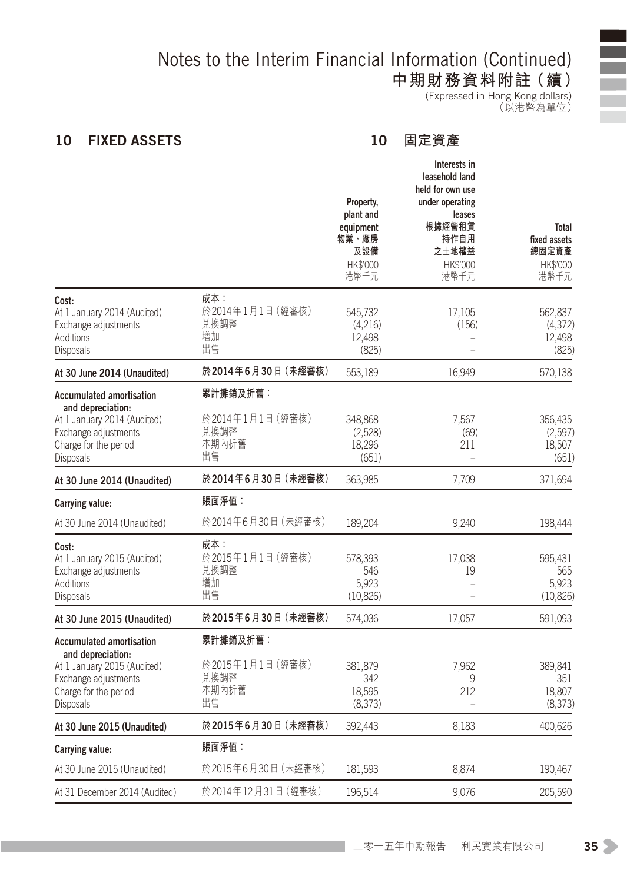**中期財務資料附註(續)**

(Expressed in Hong Kong dollars) (以港幣為單位)

#### 10 FIXED ASSETS

#### 10 **固定資產**

|                                                    | Property,<br>plant and<br>equipment<br>物業、廠房<br>及設備<br>HK\$'000<br>港幣千元 | Interests in<br>leasehold land<br>held for own use<br>under operating<br>leases<br>根據經營租賃<br>持作自用<br>之土地權益<br>HK\$'000<br>港幣千元 | Total<br>fixed assets<br>總固定資產<br>HK\$'000<br>港幣千元 |
|----------------------------------------------------|-------------------------------------------------------------------------|--------------------------------------------------------------------------------------------------------------------------------|----------------------------------------------------|
| 成本:<br>於2014年1月1日 (經審核)<br>兑換調整<br>增加<br>出售        | 545,732<br>(4,216)<br>12,498<br>(825)                                   | 17,105<br>(156)<br>L,                                                                                                          | 562,837<br>(4, 372)<br>12,498<br>(825)             |
| 於2014年6月30日 (未經審核)                                 | 553,189                                                                 | 16.949                                                                                                                         | 570,138                                            |
| 累計攤銷及折舊:<br>於2014年1月1日(經審核)<br>兑換調整<br>本期內折舊<br>出售 | 348.868<br>(2,528)<br>18,296<br>(651)                                   | 7.567<br>(69)<br>211                                                                                                           | 356.435<br>(2,597)<br>18,507<br>(651)              |
| 於2014年6月30日 (未經審核)                                 | 363,985                                                                 | 7,709                                                                                                                          | 371,694                                            |
| 賬面淨值:                                              |                                                                         |                                                                                                                                |                                                    |
| 於2014年6月30日(未經審核)                                  | 189,204                                                                 | 9,240                                                                                                                          | 198,444                                            |
| 成本:<br>於2015年1月1日 (經審核)<br>兑換調整<br>增加<br>出售        | 578,393<br>546<br>5,923<br>(10.826)                                     | 17,038<br>19<br>L                                                                                                              | 595,431<br>565<br>5,923<br>(10.826)                |
| 於2015年6月30日 (未經審核)                                 | 574,036                                                                 | 17,057                                                                                                                         | 591,093                                            |
| 累計攤銷及折舊:<br>於2015年1月1日(經審核)<br>兑換調整<br>本期內折舊<br>出售 | 381,879<br>342<br>18,595<br>(8,373)                                     | 7,962<br>9<br>212                                                                                                              | 389,841<br>351<br>18,807<br>(8, 373)               |
| 於2015年6月30日 (未經審核)                                 | 392,443                                                                 | 8,183                                                                                                                          | 400,626                                            |
| 賬面淨值:                                              |                                                                         |                                                                                                                                |                                                    |
| 於2015年6月30日 (未經審核)                                 | 181,593                                                                 | 8,874                                                                                                                          | 190,467                                            |
| 於2014年12月31日 (經審核)                                 | 196,514                                                                 | 9,076                                                                                                                          | 205,590                                            |
|                                                    |                                                                         |                                                                                                                                |                                                    |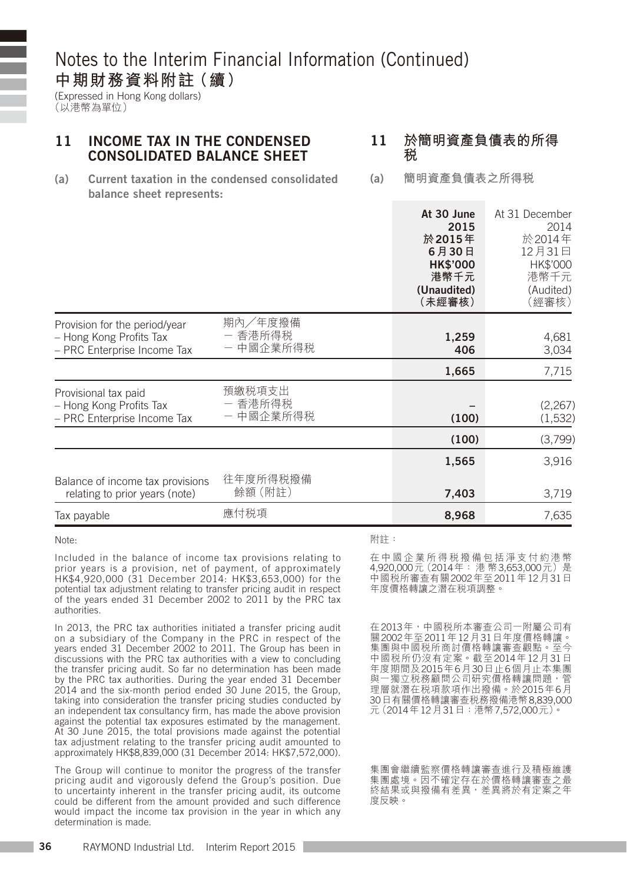(Expressed in Hong Kong dollars)

(以港幣為單位)

#### 11 Income tax in the condensed consolidated balance sheet **稅**

# 11 **於簡明資產負債表的所得**

- (a) Current taxation in the condensed consolidated balance sheet represents:
- (a) **簡明資產負債表之所得稅**

|                                                                                         |                                 | At 30 June<br>2015<br>於 2015年<br>6月30日<br><b>HK\$'000</b><br>港幣千元<br>(Unaudited)<br>(未經審核) | At 31 December<br>2014<br>於2014年<br>12月31日<br>HK\$'000<br>港幣千元<br>(Audited)<br>(經審核) |
|-----------------------------------------------------------------------------------------|---------------------------------|--------------------------------------------------------------------------------------------|--------------------------------------------------------------------------------------|
| Provision for the period/year<br>- Hong Kong Profits Tax<br>- PRC Enterprise Income Tax | 期內/年度撥備<br>- 香港所得税<br>- 中國企業所得税 | 1,259<br>406                                                                               | 4,681<br>3,034                                                                       |
|                                                                                         |                                 | 1,665                                                                                      | 7,715                                                                                |
| Provisional tax paid<br>- Hong Kong Profits Tax<br>- PRC Enterprise Income Tax          | 預繳税項支出<br>- 香港所得税<br>- 中國企業所得税  | (100)                                                                                      | (2, 267)<br>(1,532)                                                                  |
|                                                                                         |                                 | (100)                                                                                      | (3,799)                                                                              |
|                                                                                         |                                 | 1,565                                                                                      | 3,916                                                                                |
| Balance of income tax provisions<br>relating to prior years (note)                      | 往年度所得税撥備<br>餘額 (附註)             | 7,403                                                                                      | 3,719                                                                                |
| Tax payable                                                                             | 應付税項                            | 8,968                                                                                      | 7,635                                                                                |

Note:

Included in the balance of income tax provisions relating to prior years is a provision, net of payment, of approximately HK\$4,920,000 (31 December 2014: HK\$3,653,000) for the potential tax adjustment relating to transfer pricing audit in respect of the years ended 31 December 2002 to 2011 by the PRC tax authorities.

In 2013, the PRC tax authorities initiated a transfer pricing audit on a subsidiary of the Company in the PRC in respect of the years ended 31 December 2002 to 2011. The Group has been in discussions with the PRC tax authorities with a view to concluding the transfer pricing audit. So far no determination has been made by the PRC tax authorities. During the year ended 31 December 2014 and the six-month period ended 30 June 2015, the Group, taking into consideration the transfer pricing studies conducted by an independent tax consultancy firm, has made the above provision against the potential tax exposures estimated by the management. At 30 June 2015, the total provisions made against the potential tax adjustment relating to the transfer pricing audit amounted to approximately HK\$8,839,000 (31 December 2014: HK\$7,572,000).

The Group will continue to monitor the progress of the transfer pricing audit and vigorously defend the Group's position. Due to uncertainty inherent in the transfer pricing audit, its outcome could be different from the amount provided and such difference would impact the income tax provision in the year in which any determination is made.

#### 附註:

在 中 國 企 業 所 得 稅 撥 備 包 括 淨 支 付 約 港 幣 4,920,000元 (2014年: 港幣3,653,000元)是 中國稅所審查有關2002年至2011年12月31日 年度價格轉讓之潛在稅項調整。

在2013年,中國稅所本審查公司一附屬公司有 關2002年至2011年12月31日年度價格轉讓。 集團與中國稅所商討價格轉讓審查觀點。至今 中國稅所仍沒有定案。截至2014年12月31日 年度期間及2015年6月30日止6個月止本集團 與一獨立稅務顧問公司研究價格轉讓問題,管 理層就潛在稅項款項作出撥備。於2015年6月 30日有關價格轉讓審查稅務撥備港幣8,839,000 元(2014年12月31日:港幣7,572,000元)。

集團會繼續監察價格轉讓審查進行及積極維護 集團處境。因不確定存在於價格轉讓審查之最 終結果或與撥備有差異,差異將於有定案之年 度反映。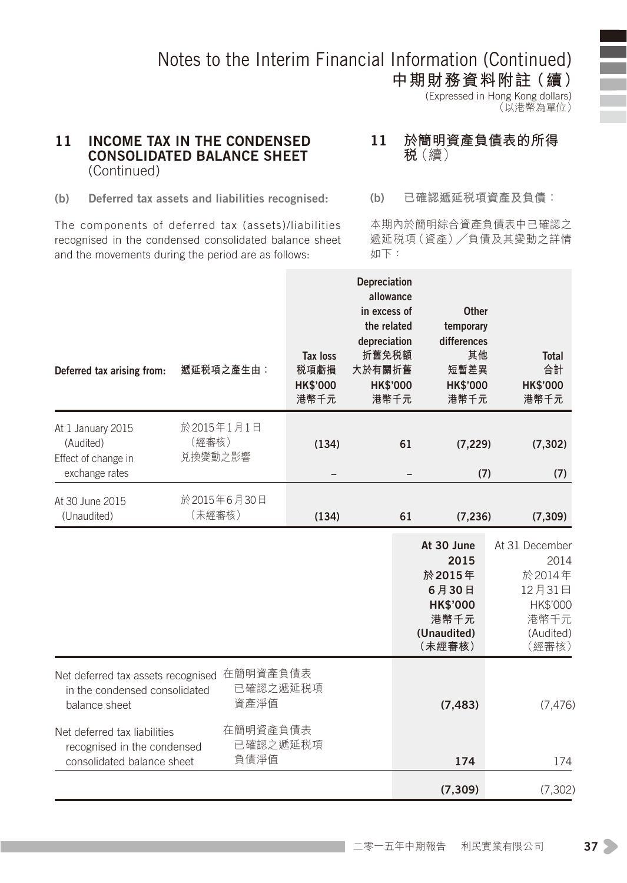**中期財務資料附註(續)** (Expressed in Hong Kong dollars) (以港幣為單位)

#### 11 Income tax in the condensed consolidated balance sheet (Continued)

#### 11 **於簡明資產負債表的所得 稅**(續)

(b) Deferred tax assets and liabilities recognised:

The components of deferred tax (assets)/liabilities recognised in the condensed consolidated balance sheet and the movements during the period are as follows:

(b) **已確認遞延稅項資產及負債:**

本期內於簡明綜合資產負債表中已確認之 遞延稅項(資產)**╱**負債及其變動之詳情 如下:

| Deferred tax arising from:                                                                | 遞延税項之產生由:                      | Tax loss<br>税項虧損<br><b>HK\$'000</b><br>港幣千元 | Depreciation<br>allowance<br>in excess of<br>the related<br>depreciation<br>折舊免税額<br>大於有關折舊<br><b>HK\$'000</b><br>港幣千元 | Other<br>temporary<br>differences<br>其他<br>短暫差異<br><b>HK\$'000</b><br>港幣千元                | <b>Total</b><br>合計<br><b>HK\$'000</b><br>港幣千元                                        |
|-------------------------------------------------------------------------------------------|--------------------------------|---------------------------------------------|------------------------------------------------------------------------------------------------------------------------|-------------------------------------------------------------------------------------------|--------------------------------------------------------------------------------------|
| At 1 January 2015<br>(Audited)<br>Effect of change in<br>exchange rates                   | 於2015年1月1日<br>(經審核)<br>兑換變動之影響 | (134)                                       | 61                                                                                                                     | (7, 229)<br>(7)                                                                           | (7, 302)<br>(7)                                                                      |
| At 30 June 2015<br>(Unaudited)                                                            | 於2015年6月30日<br>(未經審核)          | (134)                                       | 61                                                                                                                     | (7, 236)                                                                                  | (7, 309)                                                                             |
|                                                                                           |                                |                                             |                                                                                                                        | At 30 June<br>2015<br>於2015年<br>6月30日<br><b>HK\$'000</b><br>港幣千元<br>(Unaudited)<br>(未經審核) | At 31 December<br>2014<br>於2014年<br>12月31日<br>HK\$'000<br>港幣千元<br>(Audited)<br>(經審核) |
| Net deferred tax assets recognised<br>in the condensed consolidated<br>balance sheet      | 在簡明資產負債表<br>已確認之遞延税項<br>資產淨值   |                                             |                                                                                                                        | (7, 483)                                                                                  | (7, 476)                                                                             |
| Net deferred tax liabilities<br>recognised in the condensed<br>consolidated balance sheet | 在簡明資產負債表<br>已確認之遞延税項<br>負債淨值   |                                             |                                                                                                                        | 174                                                                                       | 174                                                                                  |
|                                                                                           |                                |                                             |                                                                                                                        | (7, 309)                                                                                  | (7, 302)                                                                             |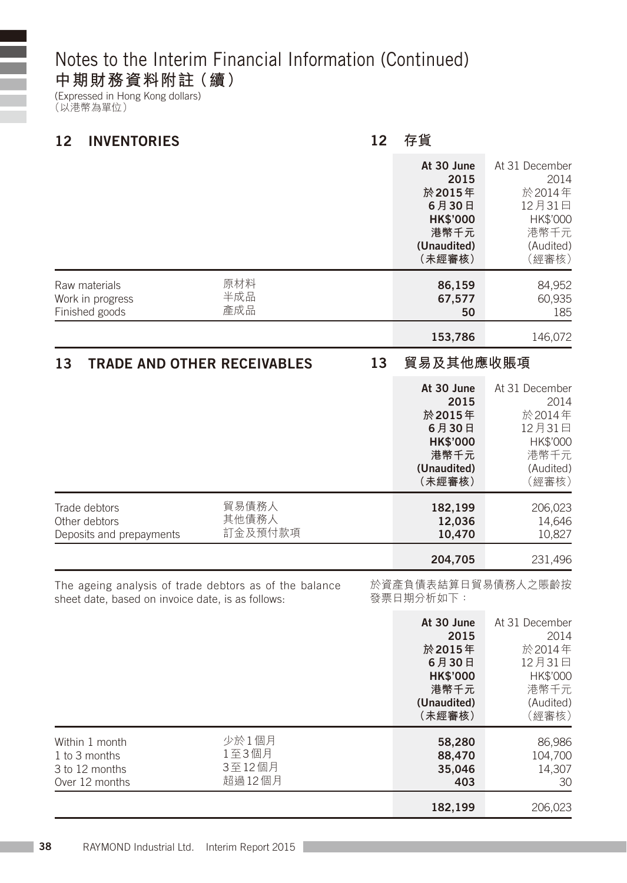### **中期財務資料附註(續)**

(Expressed in Hong Kong dollars) (以港幣為單位)

Ξ E

| 12<br><b>INVENTORIES</b>                                                                                    |                                    | 12 | 存貨                                                                                         |                                                                                      |
|-------------------------------------------------------------------------------------------------------------|------------------------------------|----|--------------------------------------------------------------------------------------------|--------------------------------------------------------------------------------------|
|                                                                                                             |                                    |    | At 30 June<br>2015<br>於2015年<br>6月30日<br><b>HK\$'000</b><br>港幣千元<br>(Unaudited)<br>(未經審核)  | At 31 December<br>2014<br>於2014年<br>12月31日<br>HK\$'000<br>港幣千元<br>(Audited)<br>(經審核) |
| Raw materials<br>Work in progress<br>Finished goods                                                         | 原材料<br>半成品<br>產成品                  |    | 86,159<br>67,577<br>50                                                                     | 84,952<br>60,935<br>185                                                              |
|                                                                                                             |                                    |    | 153,786                                                                                    | 146,072                                                                              |
| 13<br><b>TRADE AND OTHER RECEIVABLES</b>                                                                    |                                    | 13 | 貿易及其他應收賬項                                                                                  |                                                                                      |
|                                                                                                             |                                    |    | At 30 June<br>2015<br>於 2015年<br>6月30日<br><b>HK\$'000</b><br>港幣千元<br>(Unaudited)<br>(未經審核) | At 31 December<br>2014<br>於2014年<br>12月31日<br>HK\$'000<br>港幣千元<br>(Audited)<br>(經審核) |
| Trade debtors<br>Other debtors<br>Deposits and prepayments                                                  | 貿易債務人<br>其他債務人<br>訂金及預付款項          |    | 182,199<br>12,036<br>10,470                                                                | 206,023<br>14,646<br>10,827                                                          |
|                                                                                                             |                                    |    | 204,705                                                                                    | 231,496                                                                              |
| The ageing analysis of trade debtors as of the balance<br>sheet date, based on invoice date, is as follows: |                                    |    | 於資產負債表結算日貿易債務人之賬齡按<br>發票日期分析如下:                                                            |                                                                                      |
|                                                                                                             |                                    |    | At 30 June<br>2015<br>於 2015年<br>6月30日<br><b>HK\$'000</b><br>港幣千元<br>(Unaudited)<br>(未經審核) | At 31 December<br>2014<br>於2014年<br>12月31日<br>HK\$'000<br>港幣千元<br>(Audited)<br>(經審核) |
| Within 1 month<br>1 to 3 months<br>3 to 12 months<br>Over 12 months                                         | 少於1個月<br>1至3個月<br>3至12個月<br>超過12個月 |    | 58,280<br>88,470<br>35,046<br>403                                                          | 86,986<br>104,700<br>14,307<br>30                                                    |
|                                                                                                             |                                    |    | 182.199                                                                                    | 206.023                                                                              |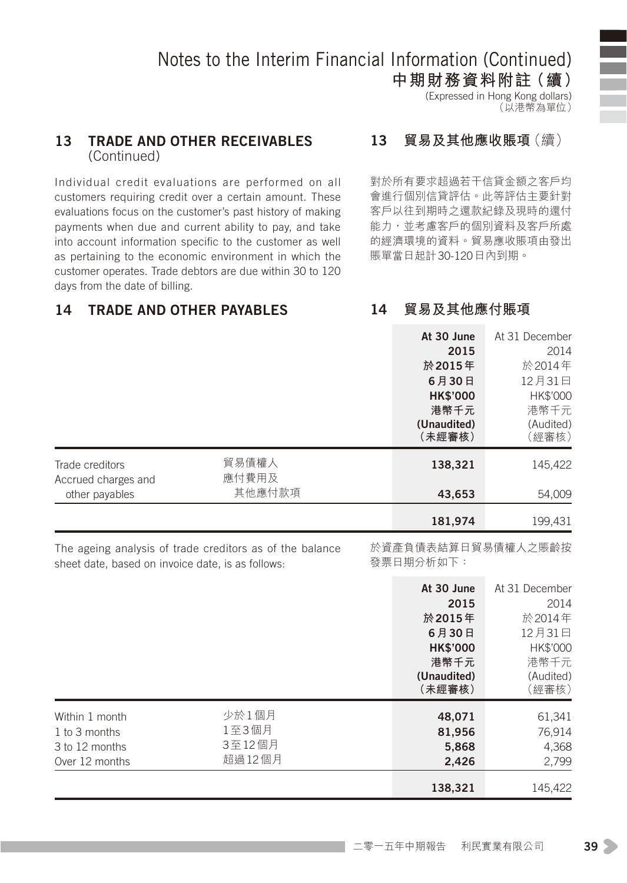**中期財務資料附註(續)** (Expressed in Hong Kong dollars) (以港幣為單位)

#### 13 Trade and other receivables (Continued)

Individual credit evaluations are performed on all customers requiring credit over a certain amount. These evaluations focus on the customer's past history of making payments when due and current ability to pay, and take into account information specific to the customer as well as pertaining to the economic environment in which the customer operates. Trade debtors are due within 30 to 120 days from the date of billing.

#### 13 **貿易及其他應收賬項**(續)

對於所有要求超過若干信貸金額之客戶均 會進行個別信貸評估。此等評估主要針對 客戶以往到期時之還款紀錄及現時的還付 能力,並考慮客戶的個別資料及客戶所處 的經濟環境的資料。貿易應收賬項由發出 賬單當日起計30-120日內到期。

#### 14 Trade and other payables

14 **貿易及其他應付賬項**

|                                                                     |                                                          | At 30 June<br>2015<br>於2015年<br>6月30日<br><b>HK\$'000</b><br>港幣千元<br>(Unaudited)<br>(未經審核) | At 31 December<br>2014<br>於2014年<br>12月31日<br>HK\$'000<br>港幣千元<br>(Audited)<br>(經審核) |
|---------------------------------------------------------------------|----------------------------------------------------------|-------------------------------------------------------------------------------------------|--------------------------------------------------------------------------------------|
| Trade creditors<br>Accrued charges and<br>other payables            | 貿易債權人<br>應付費用及<br>其他應付款項                                 | 138,321<br>43,653                                                                         | 145,422<br>54,009                                                                    |
|                                                                     |                                                          | 181,974                                                                                   | 199,431                                                                              |
| sheet date, based on invoice date, is as follows:                   | The ageing analysis of trade creditors as of the balance | 於資產負債表結算日貿易債權人之賬齡按<br>發票日期分析如下:                                                           |                                                                                      |
|                                                                     |                                                          | At 30 June<br>2015<br>於2015年<br>6月30日<br><b>HK\$'000</b><br>港幣千元<br>(Unaudited)<br>(未經審核) | At 31 December<br>2014<br>於2014年<br>12月31日<br>HK\$'000<br>港幣千元<br>(Audited)<br>(經審核) |
| Within 1 month<br>1 to 3 months<br>3 to 12 months<br>Over 12 months | 少於1個月<br>1至3個月<br>3至12個月<br>超過12個月                       | 48.071<br>81,956<br>5,868<br>2,426                                                        | 61,341<br>76,914<br>4,368<br>2,799                                                   |
|                                                                     |                                                          | 138,321                                                                                   | 145,422                                                                              |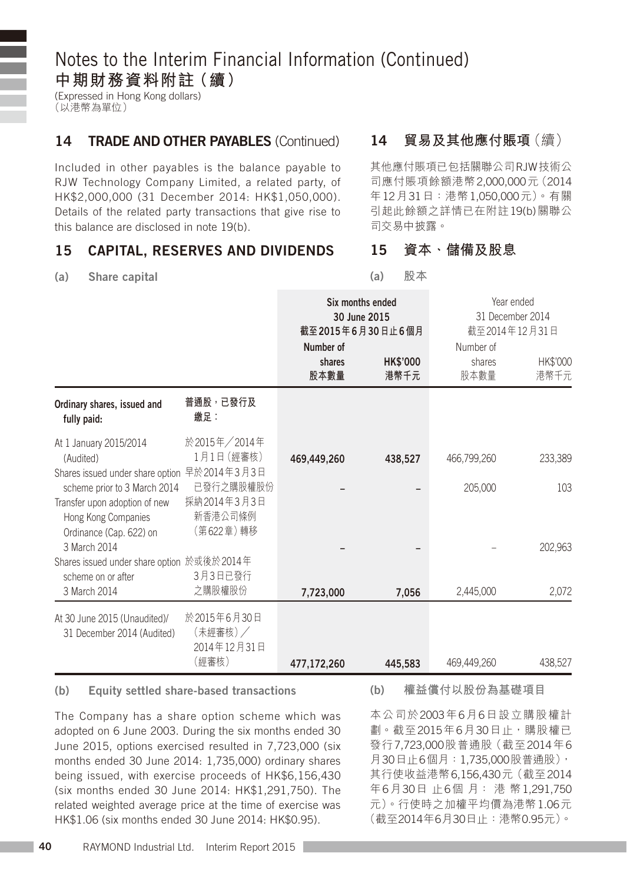(Expressed in Hong Kong dollars) (以港幣為單位)

#### 14 **TRADE AND OTHER PAYABLES** (Continued)

Included in other payables is the balance payable to RJW Technology Company Limited, a related party, of HK\$2,000,000 (31 December 2014: HK\$1,050,000). Details of the related party transactions that give rise to this balance are disclosed in note 19(b).

#### 15 Capital, reserves and dividends

#### 14 **貿易及其他應付賬項**(續)

其他應付賬項已包括關聯公司RJW技術公 司應付賬項餘額港幣2,000,000元(2014 年12月31日:港幣1,050,000元)。有關 引起此餘額之詳情已在附註19(b)關聯公 司交易中披露。

#### (a) Share capital

#### 15 **資本、儲備及股息**

(a) **股本**

|                                                                                                                 |                                                  | Number of<br>shares<br>股本數量 | Six months ended<br>30 June 2015<br>截至2015年6月30日止6個月<br><b>HK\$'000</b><br>港幣千元 | Year ended<br>31 December 2014<br>截至2014年12月31日<br>Number of<br>HK\$'000<br>shares<br>股本數量<br>港幣千元 |         |
|-----------------------------------------------------------------------------------------------------------------|--------------------------------------------------|-----------------------------|---------------------------------------------------------------------------------|----------------------------------------------------------------------------------------------------|---------|
| Ordinary shares, issued and<br>fully paid:                                                                      | 普通股,已發行及<br>繳足:                                  |                             |                                                                                 |                                                                                                    |         |
| At 1 January 2015/2014<br>(Audited)<br>Shares issued under share option 早於2014年3月3日                             | 於2015年/2014年<br>1月1日 (經審核)                       | 469,449,260                 | 438.527                                                                         | 466,799,260                                                                                        | 233,389 |
| scheme prior to 3 March 2014<br>Transfer upon adoption of new<br>Hong Kong Companies<br>Ordinance (Cap. 622) on | 已發行之購股權股份<br>採納2014年3月3日<br>新香港公司條例<br>(第622章)轉移 |                             |                                                                                 | 205,000                                                                                            | 103     |
| 3 March 2014<br>Shares issued under share option 於或後於2014年<br>scheme on or after                                | 3月3日已發行                                          |                             |                                                                                 |                                                                                                    | 202.963 |
| 3 March 2014                                                                                                    | 之購股權股份                                           | 7,723,000                   | 7,056                                                                           | 2,445,000                                                                                          | 2,072   |
| At 30 June 2015 (Unaudited)/<br>31 December 2014 (Audited)                                                      | 於2015年6月30日<br>(未經審核)/<br>2014年12月31日            |                             |                                                                                 |                                                                                                    |         |
|                                                                                                                 | (經審核)                                            | 477,172,260                 | 445.583                                                                         | 469,449,260                                                                                        | 438,527 |

#### (b) Equity settled share-based transactions

The Company has a share option scheme which was adopted on 6 June 2003. During the six months ended 30 June 2015, options exercised resulted in 7,723,000 (six months ended 30 June 2014: 1,735,000) ordinary shares being issued, with exercise proceeds of HK\$6,156,430 (six months ended 30 June 2014: HK\$1,291,750). The related weighted average price at the time of exercise was HK\$1.06 (six months ended 30 June 2014: HK\$0.95).

(b) **權益償付以股份為基礎項目**

本公司於2003年6月6日設立購股權計 劃。截至2015年6月30日止,購股權已 發行7,723,000股普通股(截至2014年6 月30日止6個月:1,735,000股普通股), 其行使收益港幣6,156,430元(截至2014 年6月30日 止6個 月: 港 幣1,291,750 元)。行使時之加權平均價為港幣1.06元 (截至2014年6月30日止:港幣0.95元)。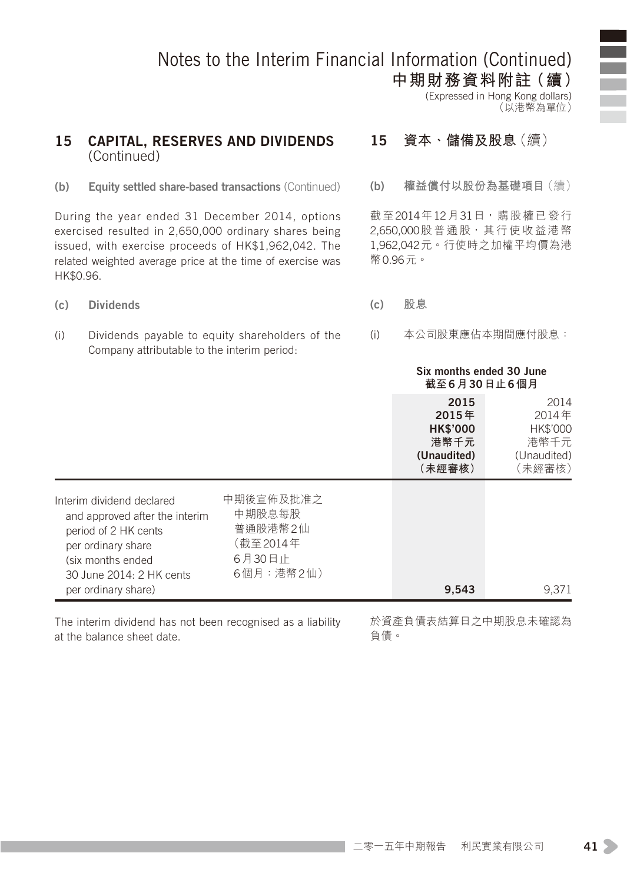**中期財務資料附註(續)** (Expressed in Hong Kong dollars) (以港幣為單位)

#### 15 Capital, reserves and dividends (Continued)

#### (b) Equity settled share-based transactions (Continued)

During the year ended 31 December 2014, options exercised resulted in 2,650,000 ordinary shares being issued, with exercise proceeds of HK\$1,962,042. The related weighted average price at the time of exercise was HK\$0.96.

#### (c) Dividends

(i) Dividends payable to equity shareholders of the Company attributable to the interim period:

#### 15 **資本、儲備及股息**(續)

(b) **權益償付以股份為基礎項目**(續)

截至2014年12月31日,購股權已發行 2,650,000股普通股,其行使收益港幣 1,962,042元。行使時之加權平均價為港 幣0.96元。

- (c) **股息**
- (i) 本公司股東應佔本期間應付股息:

#### Six months ended 30 June **截至**6**月**30**日止**6**個月**

|                                                                                                                                                            |                                                                   | 2015<br>2015年<br><b>HK\$'000</b><br>港幣千元<br>(Unaudited)<br>(未經審核) | 2014<br>2014年<br>HK\$'000<br>港幣千元<br>(Unaudited)<br>〔未經審核〕 |
|------------------------------------------------------------------------------------------------------------------------------------------------------------|-------------------------------------------------------------------|-------------------------------------------------------------------|------------------------------------------------------------|
| Interim dividend declared<br>and approved after the interim<br>period of 2 HK cents<br>per ordinary share<br>(six months ended<br>30 June 2014: 2 HK cents | 中期後宣佈及批准之<br>中期股息每股<br>普通股港幣2仙<br>(截至2014年<br>6月30日止<br>6個月:港幣2仙) |                                                                   |                                                            |
| per ordinary share)                                                                                                                                        |                                                                   | 9.543                                                             | 9.371                                                      |

The interim dividend has not been recognised as a liability at the balance sheet date.

於資產負債表結算日之中期股息未確認為 負債。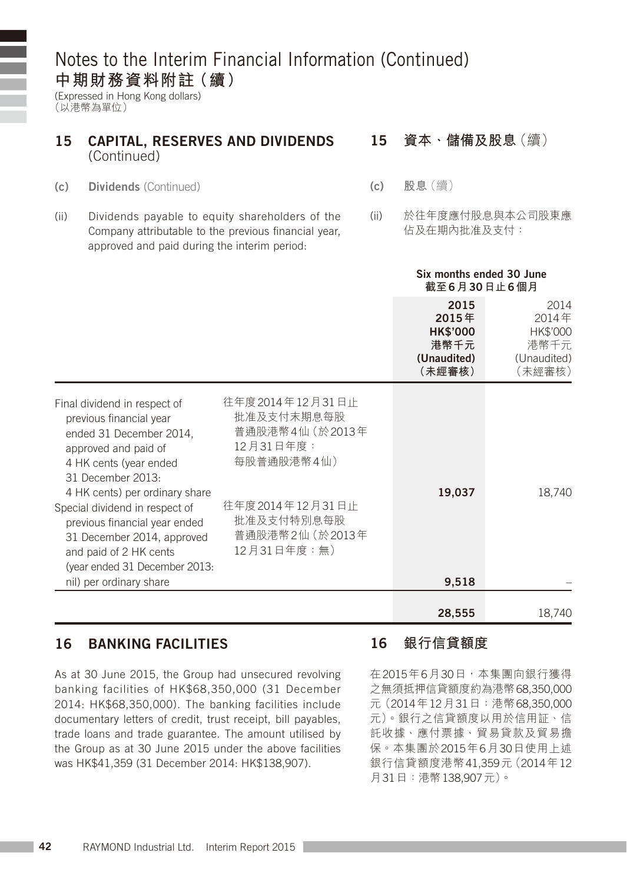(Expressed in Hong Kong dollars) (以港幣為單位)

#### 15 Capital, reserves and dividends (Continued) 15 **資本、儲備及股息**(續)

- (c) Dividends (Continued)
- (ii) Dividends payable to equity shareholders of the Company attributable to the previous financial year, approved and paid during the interim period:

- (c) **股息**(續)
- (ii) 於往年度應付股息與本公司股東應 佔及在期內批准及支付:

|                                                                                                                                                                                                                                                                                              |                                                                                                                                   | Six months ended 30 June<br>截至6月30日止6個月                           |                                                            |
|----------------------------------------------------------------------------------------------------------------------------------------------------------------------------------------------------------------------------------------------------------------------------------------------|-----------------------------------------------------------------------------------------------------------------------------------|-------------------------------------------------------------------|------------------------------------------------------------|
|                                                                                                                                                                                                                                                                                              |                                                                                                                                   | 2015<br>2015年<br><b>HK\$'000</b><br>港幣千元<br>(Unaudited)<br>(未經審核) | 2014<br>2014年<br>HK\$'000<br>港幣千元<br>(Unaudited)<br>(未經審核) |
| Final dividend in respect of<br>previous financial year<br>ended 31 December 2014.<br>approved and paid of<br>4 HK cents (year ended<br>31 December 2013:<br>4 HK cents) per ordinary share<br>Special dividend in respect of<br>previous financial year ended<br>31 December 2014, approved | 往年度 2014年12月31日止<br>批准及支付末期息每股<br>普通股港幣4仙 (於2013年<br>12月31日年度:<br>每股普通股港幣4仙)<br>往年度 2014年12月31日止<br>批准及支付特別息每股<br>普通股港幣2仙 (於2013年 | 19,037                                                            | 18,740                                                     |
| and paid of 2 HK cents<br>(year ended 31 December 2013:<br>nil) per ordinary share                                                                                                                                                                                                           | 12月31日年度:無)                                                                                                                       | 9,518                                                             |                                                            |
|                                                                                                                                                                                                                                                                                              |                                                                                                                                   | 28,555                                                            | 18,740                                                     |

#### 16 Banking facilities

As at 30 June 2015, the Group had unsecured revolving banking facilities of HK\$68,350,000 (31 December 2014: HK\$68,350,000). The banking facilities include documentary letters of credit, trust receipt, bill payables, trade loans and trade guarantee. The amount utilised by the Group as at 30 June 2015 under the above facilities was HK\$41,359 (31 December 2014: HK\$138,907).

#### 16 **銀行信貸額度**

在2015年6月30日,本集團向銀行獲得 之無須抵押信貸額度約為港幣68,350,000 元(2014年12月31日:港幣68,350,000 元)。銀行之信貸額度以用於信用証、信 託收據、應付票據、貿易貸款及貿易擔 保。本集團於2015年6月30日使用上述 銀行信貸額度港幣41,359元(2014年12 月31日:港幣138,907元)。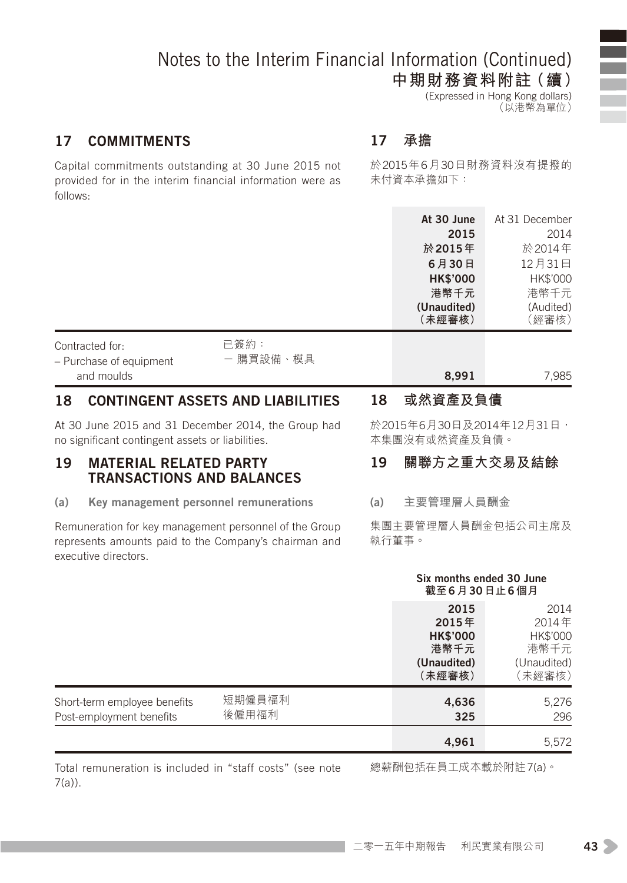**中期財務資料附註(續)** (Expressed in Hong Kong dollars)

(以港幣為單位)

#### 17 Commitments

Capital commitments outstanding at 30 June 2015 not provided for in the interim financial information were as follows:

### 17 **承擔**

於2015年6月30日財務資料沒有提撥的 未付資本承擔如下:

|                                                              |                   |    | At 30 June<br>2015<br>於 2015年<br>6月30日<br><b>HK\$'000</b><br>港幣千元<br>(Unaudited)<br>(未經審核) | At 31 December<br>2014<br>於2014年<br>12月31日<br>HK\$'000<br>港幣千元<br>(Audited)<br>(經審核) |
|--------------------------------------------------------------|-------------------|----|--------------------------------------------------------------------------------------------|--------------------------------------------------------------------------------------|
| Contracted for:<br>- Purchase of equipment                   | 已簽約:<br>- 購買設備、模具 |    |                                                                                            |                                                                                      |
| and moulds<br>18<br><b>CONTINGENT ASSETS AND LIABILITIES</b> |                   | 18 | 8.991<br>或然資產及負債                                                                           | 7,985                                                                                |
| At 30 June 2015 and 31 December 2014 the Group had           |                   |    | 於2015年6月30日及2014年12月31日,                                                                   |                                                                                      |

At 30 June 2015 and 31 December 2014, the Group had no significant contingent assets or liabilities.

#### 19 Material related party transactions and balances

(a) Key management personnel remunerations

Remuneration for key management personnel of the Group represents amounts paid to the Company's chairman and executive directors.

於2015年6月30日及2014年12月31日, 本集團沒有或然資產及負債。

### 19 **關聯方之重大交易及結餘**

(a) **主要管理層人員酬金**

集團主要管理層人員酬金包括公司主席及 執行董事。

|                                                          |                 |                                                                   | Six months ended 30 June<br>截至6月30日止6個月                    |  |
|----------------------------------------------------------|-----------------|-------------------------------------------------------------------|------------------------------------------------------------|--|
|                                                          |                 | 2015<br>2015年<br><b>HK\$'000</b><br>港幣千元<br>(Unaudited)<br>(未經審核) | 2014<br>2014年<br>HK\$'000<br>港幣千元<br>(Unaudited)<br>〔未經審核〕 |  |
| Short-term employee benefits<br>Post-employment benefits | 短期僱員福利<br>後僱用福利 | 4,636<br>325                                                      | 5,276<br>296                                               |  |
|                                                          |                 | 4,961                                                             | 5,572                                                      |  |

Total remuneration is included in "staff costs" (see note 7(a)).

總薪酬包括在員工成本載於附註7(a)。